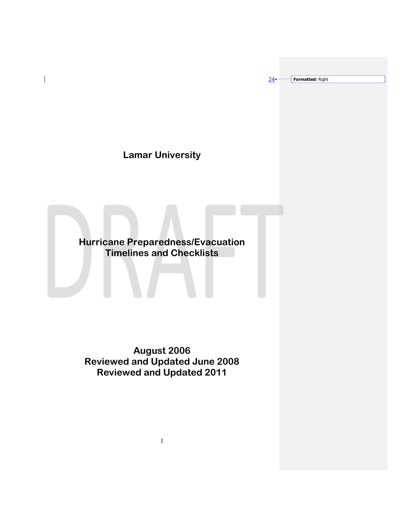$24 -$ **Formatted:** Right

# **Lamar University**

 $\overline{\phantom{a}}$ 

**Hurricane Preparedness/Evacuation Timelines and Checklists**

**August 2006 Reviewed and Updated June 2008 Reviewed and Updated 2011**

1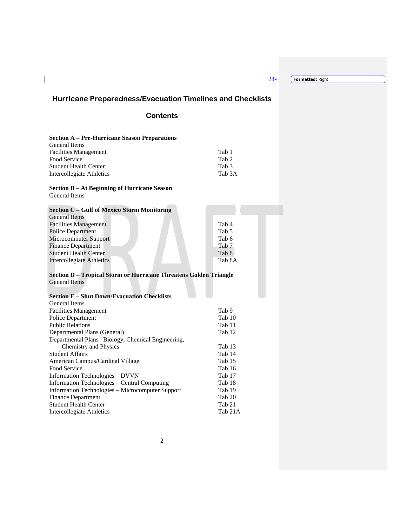$24 -$ **Formatted:** Right

# **Hurricane Preparedness/Evacuation Timelines and Checklists**

# **Contents**

# **Section A – Pre-Hurricane Season Preparations**

 $\overline{\phantom{a}}$ 

| Tab 1  |
|--------|
| Tab 2  |
| Tab 3  |
| Tab 3A |
|        |

#### **Section B – At Beginning of Hurricane Season** General Items

| Section C – Gulf of Mexico Storm Monitoring<br><b>General Items</b> |                  |  |
|---------------------------------------------------------------------|------------------|--|
| <b>Facilities Management</b>                                        | Tab 4            |  |
| <b>Police Department</b>                                            | Tab <sub>5</sub> |  |
| Microcomputer Support                                               | Tab 6            |  |
| <b>Finance Department</b>                                           | Tab 7            |  |
| <b>Student Health Center</b>                                        | Tab 8            |  |
| Intercollegiate Athletics                                           | Tab 8A           |  |
|                                                                     |                  |  |
| Section D - Tropical Storm or Hurricane Threatens Golden Triangle   |                  |  |
| <b>General Items</b>                                                |                  |  |
|                                                                     |                  |  |
| <b>Section E - Shut Down/Evacuation Checklists</b>                  |                  |  |
| General Items                                                       |                  |  |
| <b>Facilities Management</b>                                        | Tab 9            |  |
| Police Department                                                   | Tab 10           |  |
| <b>Public Relations</b>                                             | Tab 11           |  |
| Departmental Plans (General)                                        | Tab 12           |  |
| Departmental Plans-Biology, Chemical Engineering,                   |                  |  |
| <b>Chemistry and Physics</b>                                        | Tab 13           |  |
| <b>Student Affairs</b>                                              | Tab 14           |  |
| American Campus/Cardinal Village                                    | Tab 15           |  |
| Food Service                                                        | Tab 16           |  |
| Information Technologies - DVVN                                     | Tab 17           |  |
| Information Technologies - Central Computing                        | Tab 18           |  |
| Information Technologies - Microcomputer Support                    | Tab 19           |  |
| <b>Finance Department</b>                                           | Tab 20           |  |

Student Health Center Tab 21<br>Intercollegiate Athletics Tab 21A

Intercollegiate Athletics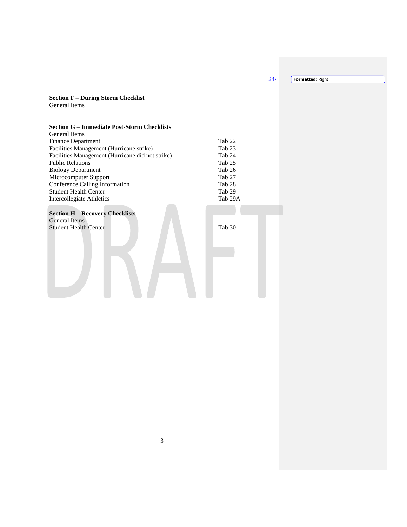$24 -$ 

**Formatted:** Right

**Section F – During Storm Checklist** General Items

 $\begin{array}{c} \hline \end{array}$ 

#### **Section G – Immediate Post-Storm Checklists**

| <b>General Items</b>                             |         |
|--------------------------------------------------|---------|
| <b>Finance Department</b>                        | Tab 22  |
| Facilities Management (Hurricane strike)         | Tab 23  |
| Facilities Management (Hurricane did not strike) | Tab 24  |
| <b>Public Relations</b>                          | Tab 25  |
| <b>Biology Department</b>                        | Tab 26  |
| Microcomputer Support                            | Tab 27  |
| Conference Calling Information                   | Tab 28  |
| <b>Student Health Center</b>                     | Tab 29  |
| Intercollegiate Athletics                        | Tab 29A |
|                                                  |         |

# **Section H – Recovery Checklists**

General Items Student Health Center Tab 30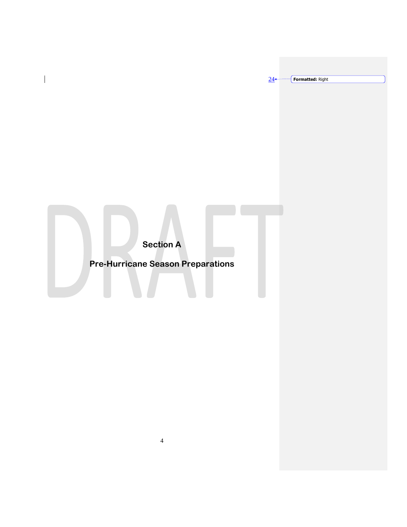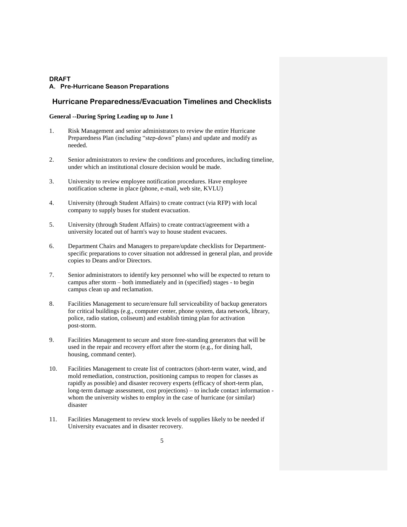#### **A. Pre-Hurricane Season Preparations**

#### **Hurricane Preparedness/Evacuation Timelines and Checklists**

### **General --During Spring Leading up to June 1**

- 1. Risk Management and senior administrators to review the entire Hurricane Preparedness Plan (including "step-down" plans) and update and modify as needed.
- 2. Senior administrators to review the conditions and procedures, including timeline, under which an institutional closure decision would be made.
- 3. University to review employee notification procedures. Have employee notification scheme in place (phone, e-mail, web site, KVLU)
- 4. University (through Student Affairs) to create contract (via RFP) with local company to supply buses for student evacuation.
- 5. University (through Student Affairs) to create contract/agreement with a university located out of harm's way to house student evacuees.
- 6. Department Chairs and Managers to prepare/update checklists for Departmentspecific preparations to cover situation not addressed in general plan, and provide copies to Deans and/or Directors.
- 7. Senior administrators to identify key personnel who will be expected to return to campus after storm – both immediately and in (specified) stages - to begin campus clean up and reclamation.
- 8. Facilities Management to secure/ensure full serviceability of backup generators for critical buildings (e.g., computer center, phone system, data network, library, police, radio station, coliseum) and establish timing plan for activation post-storm.
- 9. Facilities Management to secure and store free-standing generators that will be used in the repair and recovery effort after the storm (e.g., for dining hall, housing, command center).
- 10. Facilities Management to create list of contractors (short-term water, wind, and mold remediation, construction, positioning campus to reopen for classes as rapidly as possible) and disaster recovery experts (efficacy of short-term plan, long-term damage assessment, cost projections) – to include contact information whom the university wishes to employ in the case of hurricane (or similar) disaster
- 11. Facilities Management to review stock levels of supplies likely to be needed if University evacuates and in disaster recovery.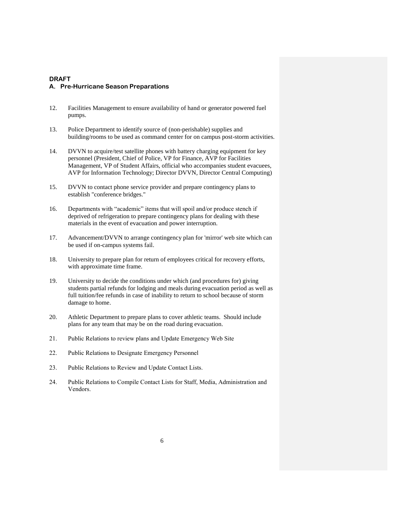- 12. Facilities Management to ensure availability of hand or generator powered fuel pumps.
- 13. Police Department to identify source of (non-perishable) supplies and building/rooms to be used as command center for on campus post-storm activities.
- 14. DVVN to acquire/test satellite phones with battery charging equipment for key personnel (President, Chief of Police, VP for Finance, AVP for Facilities Management, VP of Student Affairs, official who accompanies student evacuees, AVP for Information Technology; Director DVVN, Director Central Computing)
- 15. DVVN to contact phone service provider and prepare contingency plans to establish "conference bridges."
- 16. Departments with "academic" items that will spoil and/or produce stench if deprived of refrigeration to prepare contingency plans for dealing with these materials in the event of evacuation and power interruption.
- 17. Advancement/DVVN to arrange contingency plan for 'mirror' web site which can be used if on-campus systems fail.
- 18. University to prepare plan for return of employees critical for recovery efforts, with approximate time frame.
- 19. University to decide the conditions under which (and procedures for) giving students partial refunds for lodging and meals during evacuation period as well as full tuition/fee refunds in case of inability to return to school because of storm damage to home.
- 20. Athletic Department to prepare plans to cover athletic teams. Should include plans for any team that may be on the road during evacuation.
- 21. Public Relations to review plans and Update Emergency Web Site
- 22. Public Relations to Designate Emergency Personnel
- 23. Public Relations to Review and Update Contact Lists.
- 24. Public Relations to Compile Contact Lists for Staff, Media, Administration and Vendors.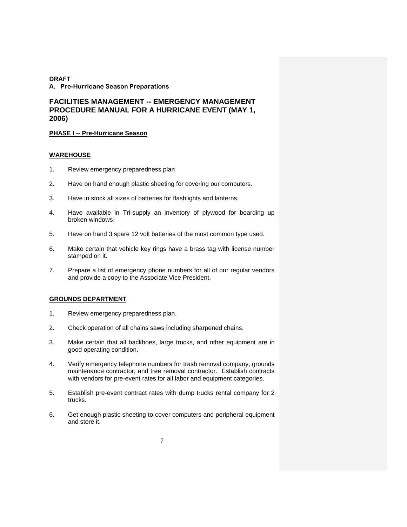# **FACILITIES MANAGEMENT -- EMERGENCY MANAGEMENT PROCEDURE MANUAL FOR A HURRICANE EVENT (MAY 1, 2006)**

#### **PHASE I -- Pre-Hurricane Season**

#### **WAREHOUSE**

- 1. Review emergency preparedness plan
- 2. Have on hand enough plastic sheeting for covering our computers.
- 3. Have in stock all sizes of batteries for flashlights and lanterns.
- 4. Have available in Tri-supply an inventory of plywood for boarding up broken windows.
- 5. Have on hand 3 spare 12 volt batteries of the most common type used.
- 6. Make certain that vehicle key rings have a brass tag with license number stamped on it.
- 7. Prepare a list of emergency phone numbers for all of our regular vendors and provide a copy to the Associate Vice President.

### **GROUNDS DEPARTMENT**

- 1. Review emergency preparedness plan.
- 2. Check operation of all chains saws including sharpened chains.
- 3. Make certain that all backhoes, large trucks, and other equipment are in good operating condition.
- 4. Verify emergency telephone numbers for trash removal company, grounds maintenance contractor, and tree removal contractor. Establish contracts with vendors for pre-event rates for all labor and equipment categories.
- 5. Establish pre-event contract rates with dump trucks rental company for 2 trucks.
- 6. Get enough plastic sheeting to cover computers and peripheral equipment and store it.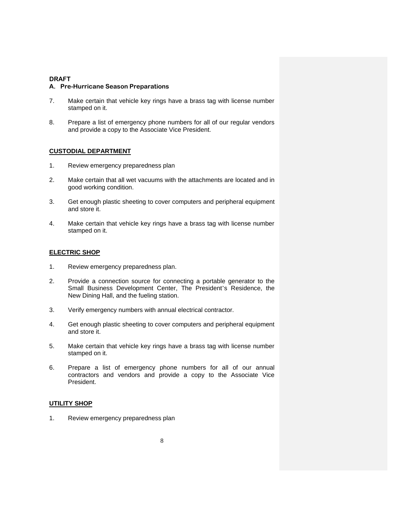#### **A. Pre-Hurricane Season Preparations**

- 7. Make certain that vehicle key rings have a brass tag with license number stamped on it.
- 8. Prepare a list of emergency phone numbers for all of our regular vendors and provide a copy to the Associate Vice President.

#### **CUSTODIAL DEPARTMENT**

- 1. Review emergency preparedness plan
- 2. Make certain that all wet vacuums with the attachments are located and in good working condition.
- 3. Get enough plastic sheeting to cover computers and peripheral equipment and store it.
- 4. Make certain that vehicle key rings have a brass tag with license number stamped on it.

### **ELECTRIC SHOP**

- 1. Review emergency preparedness plan.
- 2. Provide a connection source for connecting a portable generator to the Small Business Development Center, The President's Residence, the New Dining Hall, and the fueling station.
- 3. Verify emergency numbers with annual electrical contractor.
- 4. Get enough plastic sheeting to cover computers and peripheral equipment and store it.
- 5. Make certain that vehicle key rings have a brass tag with license number stamped on it.
- 6. Prepare a list of emergency phone numbers for all of our annual contractors and vendors and provide a copy to the Associate Vice President.

#### **UTILITY SHOP**

1. Review emergency preparedness plan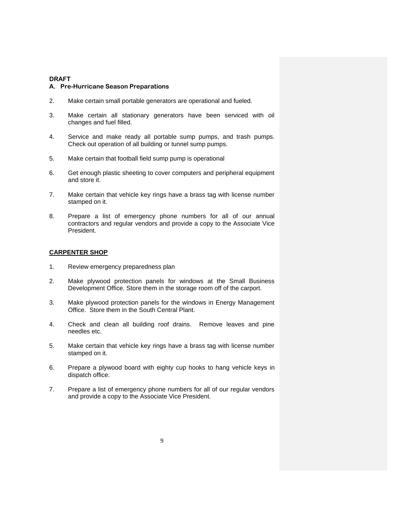#### **A. Pre-Hurricane Season Preparations**

- 2. Make certain small portable generators are operational and fueled.
- 3. Make certain all stationary generators have been serviced with oil changes and fuel filled.
- 4. Service and make ready all portable sump pumps, and trash pumps. Check out operation of all building or tunnel sump pumps.
- 5. Make certain that football field sump pump is operational
- 6. Get enough plastic sheeting to cover computers and peripheral equipment and store it.
- 7. Make certain that vehicle key rings have a brass tag with license number stamped on it.
- 8. Prepare a list of emergency phone numbers for all of our annual contractors and regular vendors and provide a copy to the Associate Vice President.

### **CARPENTER SHOP**

- 1. Review emergency preparedness plan
- 2. Make plywood protection panels for windows at the Small Business Development Office. Store them in the storage room off of the carport.
- 3. Make plywood protection panels for the windows in Energy Management Office. Store them in the South Central Plant.
- 4. Check and clean all building roof drains. Remove leaves and pine needles etc.
- 5. Make certain that vehicle key rings have a brass tag with license number stamped on it.
- 6. Prepare a plywood board with eighty cup hooks to hang vehicle keys in dispatch office.
- 7. Prepare a list of emergency phone numbers for all of our regular vendors and provide a copy to the Associate Vice President.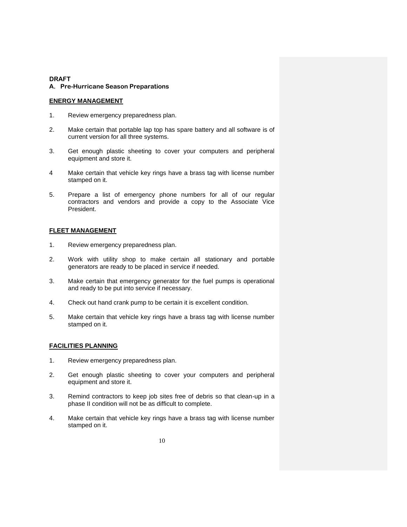### **A. Pre-Hurricane Season Preparations**

# **ENERGY MANAGEMENT**

- 1. Review emergency preparedness plan.
- 2. Make certain that portable lap top has spare battery and all software is of current version for all three systems.
- 3. Get enough plastic sheeting to cover your computers and peripheral equipment and store it.
- 4 Make certain that vehicle key rings have a brass tag with license number stamped on it.
- 5. Prepare a list of emergency phone numbers for all of our regular contractors and vendors and provide a copy to the Associate Vice President.

# **FLEET MANAGEMENT**

- 1. Review emergency preparedness plan.
- 2. Work with utility shop to make certain all stationary and portable generators are ready to be placed in service if needed.
- 3. Make certain that emergency generator for the fuel pumps is operational and ready to be put into service if necessary.
- 4. Check out hand crank pump to be certain it is excellent condition.
- 5. Make certain that vehicle key rings have a brass tag with license number stamped on it.

# **FACILITIES PLANNING**

- 1. Review emergency preparedness plan.
- 2. Get enough plastic sheeting to cover your computers and peripheral equipment and store it.
- 3. Remind contractors to keep job sites free of debris so that clean-up in a phase II condition will not be as difficult to complete.
- 4. Make certain that vehicle key rings have a brass tag with license number stamped on it.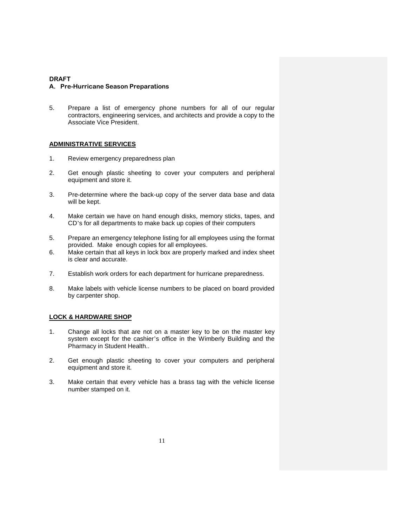5. Prepare a list of emergency phone numbers for all of our regular contractors, engineering services, and architects and provide a copy to the Associate Vice President.

# **ADMINISTRATIVE SERVICES**

- 1. Review emergency preparedness plan
- 2. Get enough plastic sheeting to cover your computers and peripheral equipment and store it.
- 3. Pre-determine where the back-up copy of the server data base and data will be kept.
- 4. Make certain we have on hand enough disks, memory sticks, tapes, and CD's for all departments to make back up copies of their computers
- 5. Prepare an emergency telephone listing for all employees using the format provided. Make enough copies for all employees.
- 6. Make certain that all keys in lock box are properly marked and index sheet is clear and accurate.
- 7. Establish work orders for each department for hurricane preparedness.
- 8. Make labels with vehicle license numbers to be placed on board provided by carpenter shop.

# **LOCK & HARDWARE SHOP**

- 1. Change all locks that are not on a master key to be on the master key system except for the cashier's office in the Wimberly Building and the Pharmacy in Student Health..
- 2. Get enough plastic sheeting to cover your computers and peripheral equipment and store it.
- 3. Make certain that every vehicle has a brass tag with the vehicle license number stamped on it.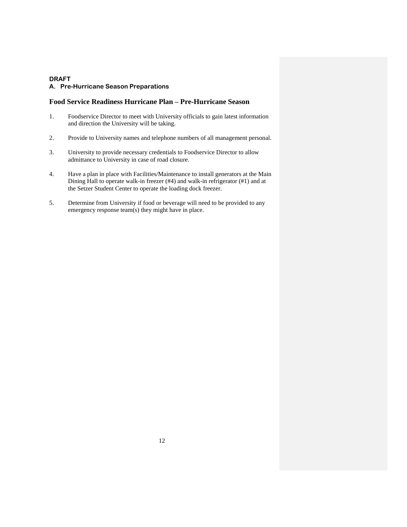#### **Food Service Readiness Hurricane Plan – Pre-Hurricane Season**

- 1. Foodservice Director to meet with University officials to gain latest information and direction the University will be taking.
- 2. Provide to University names and telephone numbers of all management personal.
- 3. University to provide necessary credentials to Foodservice Director to allow admittance to University in case of road closure.
- 4. Have a plan in place with Facilities/Maintenance to install generators at the Main Dining Hall to operate walk-in freezer (#4) and walk-in refrigerator (#1) and at the Setzer Student Center to operate the loading dock freezer.
- 5. Determine from University if food or beverage will need to be provided to any emergency response team(s) they might have in place.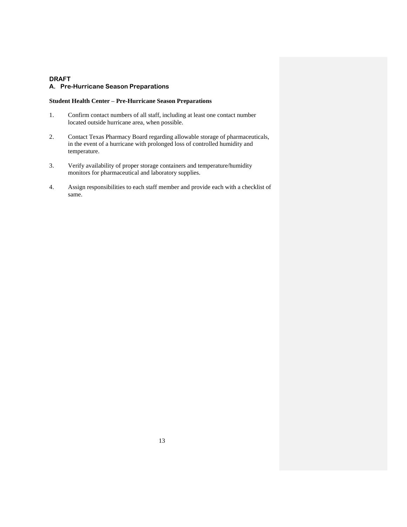# **Student Health Center – Pre-Hurricane Season Preparations**

- 1. Confirm contact numbers of all staff, including at least one contact number located outside hurricane area, when possible.
- 2. Contact Texas Pharmacy Board regarding allowable storage of pharmaceuticals, in the event of a hurricane with prolonged loss of controlled humidity and temperature.
- 3. Verify availability of proper storage containers and temperature/humidity monitors for pharmaceutical and laboratory supplies.
- 4. Assign responsibilities to each staff member and provide each with a checklist of same.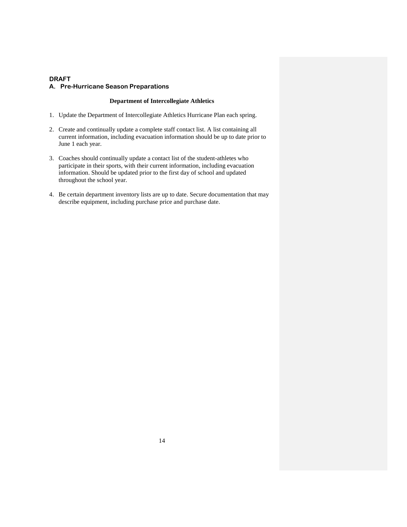#### **Department of Intercollegiate Athletics**

- 1. Update the Department of Intercollegiate Athletics Hurricane Plan each spring.
- 2. Create and continually update a complete staff contact list. A list containing all current information, including evacuation information should be up to date prior to June 1 each year.
- 3. Coaches should continually update a contact list of the student-athletes who participate in their sports, with their current information, including evacuation information. Should be updated prior to the first day of school and updated throughout the school year.
- 4. Be certain department inventory lists are up to date. Secure documentation that may describe equipment, including purchase price and purchase date.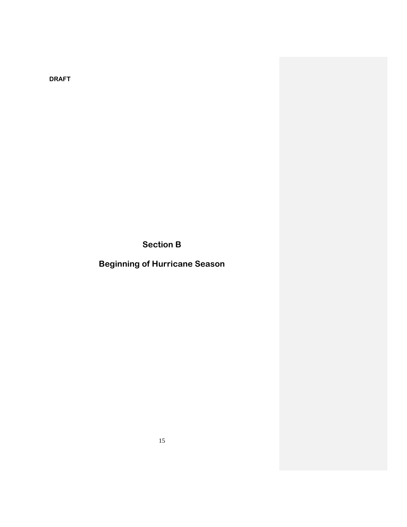**Section B**

**Beginning of Hurricane Season**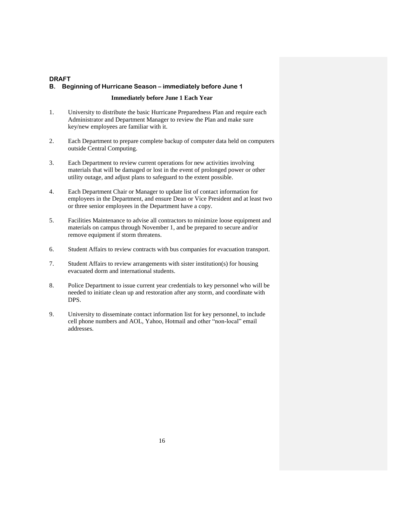### **DRAFT B. Beginning of Hurricane Season – immediately before June 1**

#### **Immediately before June 1 Each Year**

- 1. University to distribute the basic Hurricane Preparedness Plan and require each Administrator and Department Manager to review the Plan and make sure key/new employees are familiar with it.
- 2. Each Department to prepare complete backup of computer data held on computers outside Central Computing.
- 3. Each Department to review current operations for new activities involving materials that will be damaged or lost in the event of prolonged power or other utility outage, and adjust plans to safeguard to the extent possible.
- 4. Each Department Chair or Manager to update list of contact information for employees in the Department, and ensure Dean or Vice President and at least two or three senior employees in the Department have a copy.
- 5. Facilities Maintenance to advise all contractors to minimize loose equipment and materials on campus through November 1, and be prepared to secure and/or remove equipment if storm threatens.
- 6. Student Affairs to review contracts with bus companies for evacuation transport.
- 7. Student Affairs to review arrangements with sister institution(s) for housing evacuated dorm and international students.
- 8. Police Department to issue current year credentials to key personnel who will be needed to initiate clean up and restoration after any storm, and coordinate with DPS.
- 9. University to disseminate contact information list for key personnel, to include cell phone numbers and AOL, Yahoo, Hotmail and other "non-local" email addresses.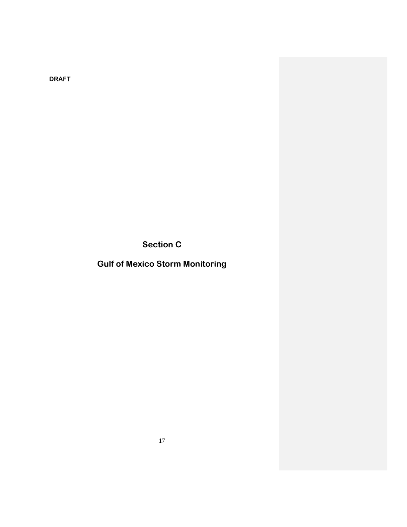**Section C**

**Gulf of Mexico Storm Monitoring**

17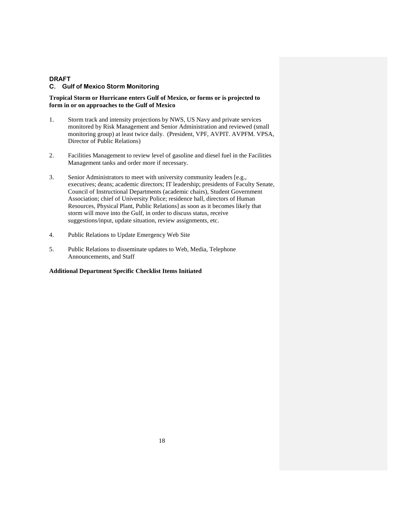#### **C. Gulf of Mexico Storm Monitoring**

### **Tropical Storm or Hurricane enters Gulf of Mexico, or forms or is projected to form in or on approaches to the Gulf of Mexico**

- 1. Storm track and intensity projections by NWS, US Navy and private services monitored by Risk Management and Senior Administration and reviewed (small monitoring group) at least twice daily. (President, VPF, AVPIT. AVPFM. VPSA, Director of Public Relations)
- 2. Facilities Management to review level of gasoline and diesel fuel in the Facilities Management tanks and order more if necessary.
- 3. Senior Administrators to meet with university community leaders [e.g., executives; deans; academic directors; IT leadership; presidents of Faculty Senate, Council of Instructional Departments (academic chairs), Student Government Association; chief of University Police; residence hall, directors of Human Resources, Physical Plant, Public Relations] as soon as it becomes likely that storm will move into the Gulf, in order to discuss status, receive suggestions/input, update situation, review assignments, etc.
- 4. Public Relations to Update Emergency Web Site
- 5. Public Relations to disseminate updates to Web, Media, Telephone Announcements, and Staff

### **Additional Department Specific Checklist Items Initiated**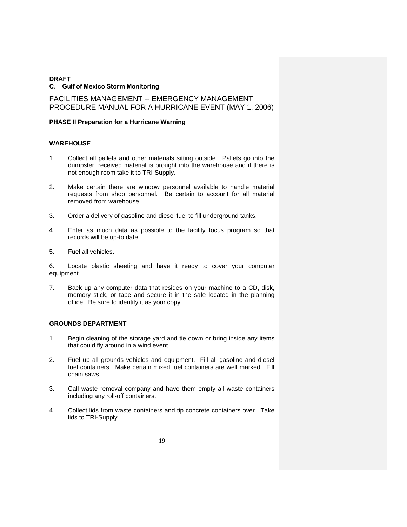FACILITIES MANAGEMENT -- EMERGENCY MANAGEMENT PROCEDURE MANUAL FOR A HURRICANE EVENT (MAY 1, 2006)

# **PHASE II Preparation for a Hurricane Warning**

# **WAREHOUSE**

- 1. Collect all pallets and other materials sitting outside. Pallets go into the dumpster; received material is brought into the warehouse and if there is not enough room take it to TRI-Supply.
- 2. Make certain there are window personnel available to handle material requests from shop personnel. Be certain to account for all material removed from warehouse.
- 3. Order a delivery of gasoline and diesel fuel to fill underground tanks.
- 4. Enter as much data as possible to the facility focus program so that records will be up-to date.
- 5. Fuel all vehicles.

6. Locate plastic sheeting and have it ready to cover your computer equipment.

7. Back up any computer data that resides on your machine to a CD, disk, memory stick, or tape and secure it in the safe located in the planning office. Be sure to identify it as your copy.

# **GROUNDS DEPARTMENT**

- 1. Begin cleaning of the storage yard and tie down or bring inside any items that could fly around in a wind event.
- 2. Fuel up all grounds vehicles and equipment. Fill all gasoline and diesel fuel containers. Make certain mixed fuel containers are well marked. Fill chain saws.
- 3. Call waste removal company and have them empty all waste containers including any roll-off containers.
- 4. Collect lids from waste containers and tip concrete containers over. Take lids to TRI-Supply.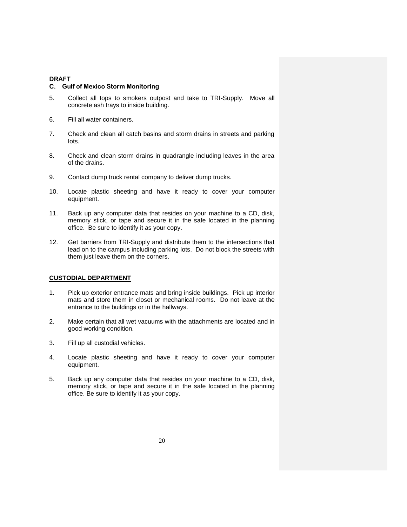#### **C. Gulf of Mexico Storm Monitoring**

- 5. Collect all tops to smokers outpost and take to TRI-Supply. Move all concrete ash trays to inside building.
- 6. Fill all water containers.
- 7. Check and clean all catch basins and storm drains in streets and parking lots.
- 8. Check and clean storm drains in quadrangle including leaves in the area of the drains.
- 9. Contact dump truck rental company to deliver dump trucks.
- 10. Locate plastic sheeting and have it ready to cover your computer equipment.
- 11. Back up any computer data that resides on your machine to a CD, disk, memory stick, or tape and secure it in the safe located in the planning office. Be sure to identify it as your copy.
- 12. Get barriers from TRI-Supply and distribute them to the intersections that lead on to the campus including parking lots. Do not block the streets with them just leave them on the corners.

### **CUSTODIAL DEPARTMENT**

- 1. Pick up exterior entrance mats and bring inside buildings. Pick up interior mats and store them in closet or mechanical rooms. Do not leave at the entrance to the buildings or in the hallways.
- 2. Make certain that all wet vacuums with the attachments are located and in good working condition.
- 3. Fill up all custodial vehicles.
- 4. Locate plastic sheeting and have it ready to cover your computer equipment.
- 5. Back up any computer data that resides on your machine to a CD, disk, memory stick, or tape and secure it in the safe located in the planning office. Be sure to identify it as your copy.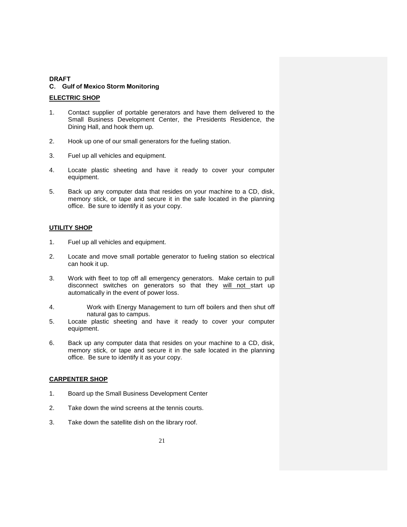### **ELECTRIC SHOP**

- 1. Contact supplier of portable generators and have them delivered to the Small Business Development Center, the Presidents Residence, the Dining Hall, and hook them up.
- 2. Hook up one of our small generators for the fueling station.
- 3. Fuel up all vehicles and equipment.
- 4. Locate plastic sheeting and have it ready to cover your computer equipment.
- 5. Back up any computer data that resides on your machine to a CD, disk, memory stick, or tape and secure it in the safe located in the planning office. Be sure to identify it as your copy.

# **UTILITY SHOP**

- 1. Fuel up all vehicles and equipment.
- 2. Locate and move small portable generator to fueling station so electrical can hook it up.
- 3. Work with fleet to top off all emergency generators. Make certain to pull disconnect switches on generators so that they will not start up automatically in the event of power loss.
- 4. Work with Energy Management to turn off boilers and then shut off natural gas to campus.
- 5. Locate plastic sheeting and have it ready to cover your computer equipment.
- 6. Back up any computer data that resides on your machine to a CD, disk, memory stick, or tape and secure it in the safe located in the planning office. Be sure to identify it as your copy.

# **CARPENTER SHOP**

- 1. Board up the Small Business Development Center
- 2. Take down the wind screens at the tennis courts.
- 3. Take down the satellite dish on the library roof.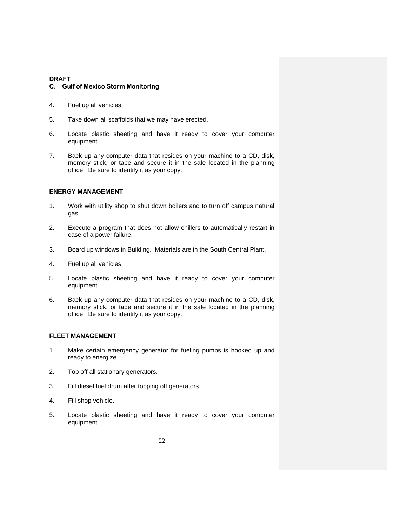#### **C. Gulf of Mexico Storm Monitoring**

- 4. Fuel up all vehicles.
- 5. Take down all scaffolds that we may have erected.
- 6. Locate plastic sheeting and have it ready to cover your computer equipment.
- 7. Back up any computer data that resides on your machine to a CD, disk, memory stick, or tape and secure it in the safe located in the planning office. Be sure to identify it as your copy.

#### **ENERGY MANAGEMENT**

- 1. Work with utility shop to shut down boilers and to turn off campus natural gas.
- 2. Execute a program that does not allow chillers to automatically restart in case of a power failure.
- 3. Board up windows in Building. Materials are in the South Central Plant.
- 4. Fuel up all vehicles.
- 5. Locate plastic sheeting and have it ready to cover your computer equipment.
- 6. Back up any computer data that resides on your machine to a CD, disk, memory stick, or tape and secure it in the safe located in the planning office. Be sure to identify it as your copy.

#### **FLEET MANAGEMENT**

- 1. Make certain emergency generator for fueling pumps is hooked up and ready to energize.
- 2. Top off all stationary generators.
- 3. Fill diesel fuel drum after topping off generators.
- 4. Fill shop vehicle.
- 5. Locate plastic sheeting and have it ready to cover your computer equipment.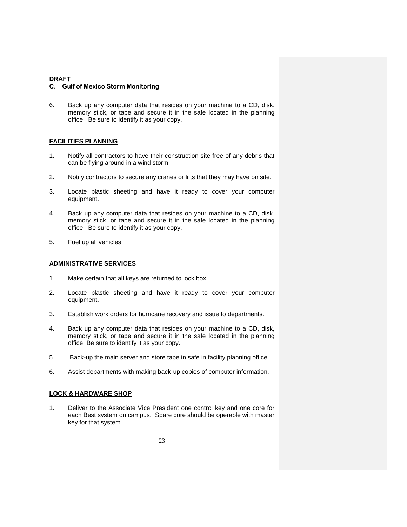#### **C. Gulf of Mexico Storm Monitoring**

6. Back up any computer data that resides on your machine to a CD, disk, memory stick, or tape and secure it in the safe located in the planning office. Be sure to identify it as your copy.

### **FACILITIES PLANNING**

- 1. Notify all contractors to have their construction site free of any debris that can be flying around in a wind storm.
- 2. Notify contractors to secure any cranes or lifts that they may have on site.
- 3. Locate plastic sheeting and have it ready to cover your computer equipment.
- 4. Back up any computer data that resides on your machine to a CD, disk, memory stick, or tape and secure it in the safe located in the planning office. Be sure to identify it as your copy.
- 5. Fuel up all vehicles.

#### **ADMINISTRATIVE SERVICES**

- 1. Make certain that all keys are returned to lock box.
- 2. Locate plastic sheeting and have it ready to cover your computer equipment.
- 3. Establish work orders for hurricane recovery and issue to departments.
- 4. Back up any computer data that resides on your machine to a CD, disk, memory stick, or tape and secure it in the safe located in the planning office. Be sure to identify it as your copy.
- 5. Back-up the main server and store tape in safe in facility planning office.
- 6. Assist departments with making back-up copies of computer information.

### **LOCK & HARDWARE SHOP**

1. Deliver to the Associate Vice President one control key and one core for each Best system on campus. Spare core should be operable with master key for that system.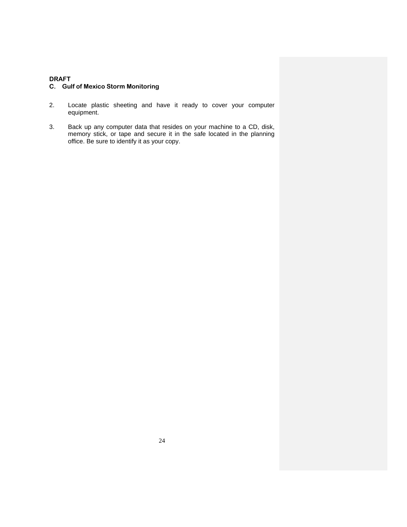# **C. Gulf of Mexico Storm Monitoring**

- 2. Locate plastic sheeting and have it ready to cover your computer equipment.
- 3. Back up any computer data that resides on your machine to a CD, disk, memory stick, or tape and secure it in the safe located in the planning office. Be sure to identify it as your copy.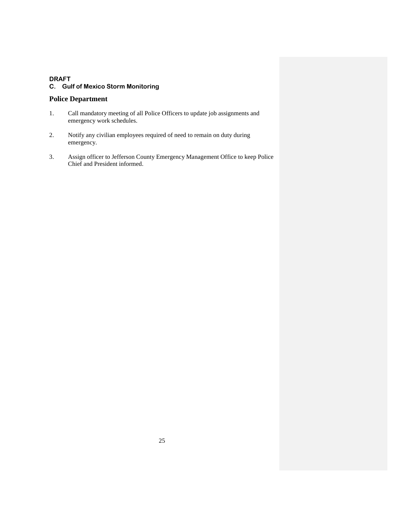# **Police Department**

- 1. Call mandatory meeting of all Police Officers to update job assignments and emergency work schedules.
- 2. Notify any civilian employees required of need to remain on duty during emergency.
- 3. Assign officer to Jefferson County Emergency Management Office to keep Police Chief and President informed.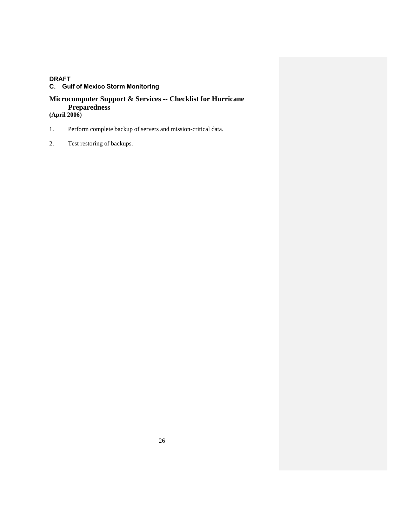# **Microcomputer Support & Services -- Checklist for Hurricane Preparedness (April 2006)**

- 1. Perform complete backup of servers and mission-critical data.
- 2. Test restoring of backups.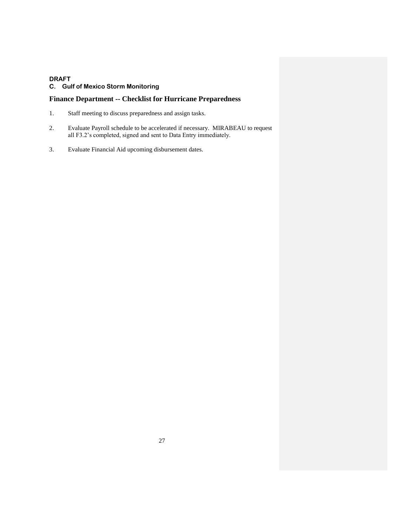# **Finance Department -- Checklist for Hurricane Preparedness**

- 1. Staff meeting to discuss preparedness and assign tasks.
- 2. Evaluate Payroll schedule to be accelerated if necessary. MIRABEAU to request all F3.2's completed, signed and sent to Data Entry immediately.
- 3. Evaluate Financial Aid upcoming disbursement dates.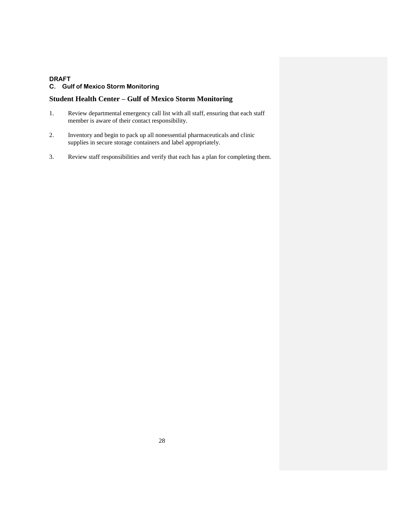# **Student Health Center – Gulf of Mexico Storm Monitoring**

- 1. Review departmental emergency call list with all staff, ensuring that each staff member is aware of their contact responsibility.
- 2. Inventory and begin to pack up all nonessential pharmaceuticals and clinic supplies in secure storage containers and label appropriately.
- 3. Review staff responsibilities and verify that each has a plan for completing them.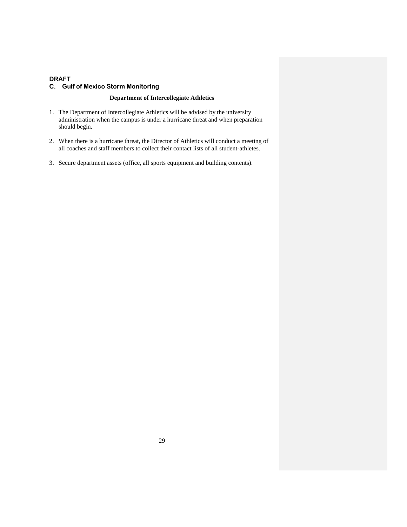# **Department of Intercollegiate Athletics**

- 1. The Department of Intercollegiate Athletics will be advised by the university administration when the campus is under a hurricane threat and when preparation should begin.
- 2. When there is a hurricane threat, the Director of Athletics will conduct a meeting of all coaches and staff members to collect their contact lists of all student-athletes.
- 3. Secure department assets (office, all sports equipment and building contents).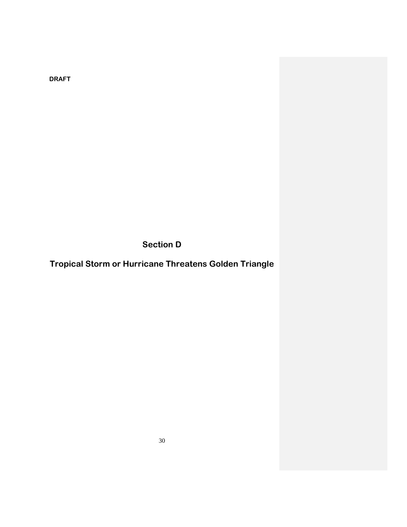**Section D**

**Tropical Storm or Hurricane Threatens Golden Triangle**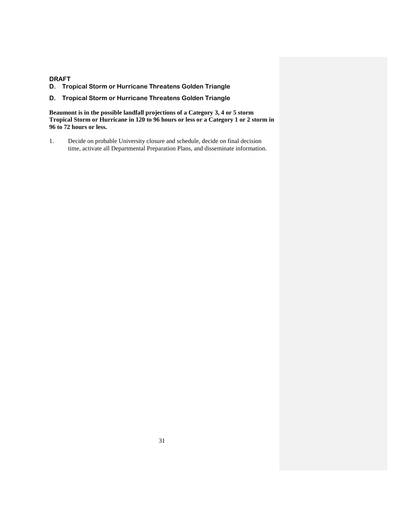# **DRAFT D. Tropical Storm or Hurricane Threatens Golden Triangle**

# **D. Tropical Storm or Hurricane Threatens Golden Triangle**

**Beaumont is in the possible landfall projections of a Category 3, 4 or 5 storm Tropical Storm or Hurricane in 120 to 96 hours or less or a Category 1 or 2 storm in 96 to 72 hours or less.**

1. Decide on probable University closure and schedule, decide on final decision time, activate all Departmental Preparation Plans, and disseminate information.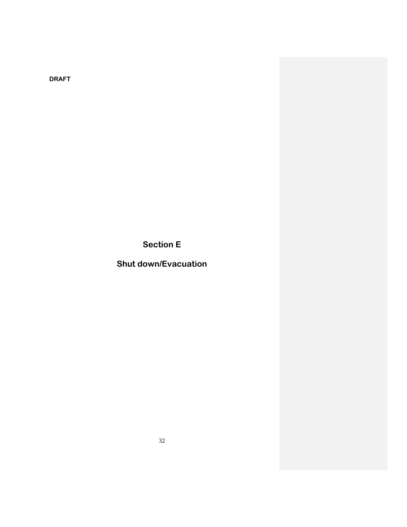**Section E**

**Shut down/Evacuation**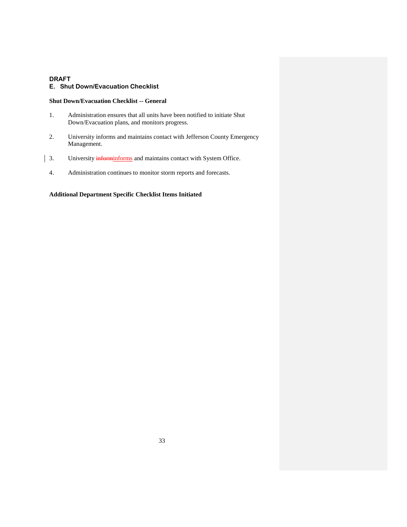#### **E. Shut Down/Evacuation Checklist**

#### **Shut Down/Evacuation Checklist -- General**

- 1. Administration ensures that all units have been notified to initiate Shut Down/Evacuation plans, and monitors progress.
- 2. University informs and maintains contact with Jefferson County Emergency Management.
- 3. University informiniorms and maintains contact with System Office.
	- 4. Administration continues to monitor storm reports and forecasts.

# **Additional Department Specific Checklist Items Initiated**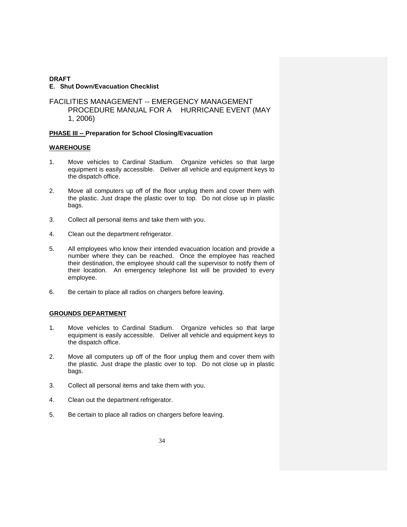### **DRAFT E. Shut Down/Evacuation Checklist**

# FACILITIES MANAGEMENT -- EMERGENCY MANAGEMENT PROCEDURE MANUAL FOR A HURRICANE EVENT (MAY 1, 2006)

# **PHASE III -- Preparation for School Closing/Evacuation**

### **WAREHOUSE**

- 1. Move vehicles to Cardinal Stadium. Organize vehicles so that large equipment is easily accessible. Deliver all vehicle and equipment keys to the dispatch office.
- 2. Move all computers up off of the floor unplug them and cover them with the plastic. Just drape the plastic over to top. Do not close up in plastic bags.
- 3. Collect all personal items and take them with you.
- 4. Clean out the department refrigerator.
- 5. All employees who know their intended evacuation location and provide a number where they can be reached. Once the employee has reached their destination, the employee should call the supervisor to notify them of their location. An emergency telephone list will be provided to every employee.
- 6. Be certain to place all radios on chargers before leaving.

### **GROUNDS DEPARTMENT**

- 1. Move vehicles to Cardinal Stadium. Organize vehicles so that large equipment is easily accessible. Deliver all vehicle and equipment keys to the dispatch office.
- 2. Move all computers up off of the floor unplug them and cover them with the plastic. Just drape the plastic over to top. Do not close up in plastic bags.
- 3. Collect all personal items and take them with you.
- 4. Clean out the department refrigerator.
- 5. Be certain to place all radios on chargers before leaving.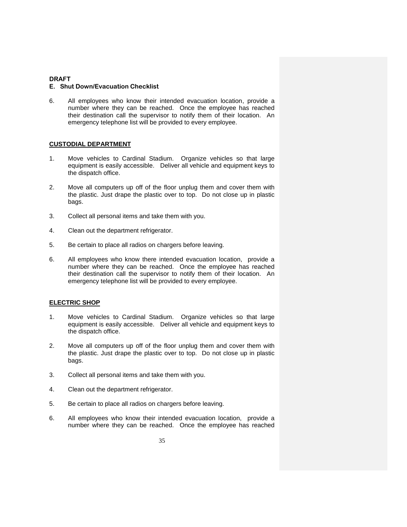#### **E. Shut Down/Evacuation Checklist**

6. All employees who know their intended evacuation location, provide a number where they can be reached. Once the employee has reached their destination call the supervisor to notify them of their location. An emergency telephone list will be provided to every employee.

#### **CUSTODIAL DEPARTMENT**

- 1. Move vehicles to Cardinal Stadium. Organize vehicles so that large equipment is easily accessible. Deliver all vehicle and equipment keys to the dispatch office.
- 2. Move all computers up off of the floor unplug them and cover them with the plastic. Just drape the plastic over to top. Do not close up in plastic bags.
- 3. Collect all personal items and take them with you.
- 4. Clean out the department refrigerator.
- 5. Be certain to place all radios on chargers before leaving.
- 6. All employees who know there intended evacuation location, provide a number where they can be reached. Once the employee has reached their destination call the supervisor to notify them of their location. An emergency telephone list will be provided to every employee.

#### **ELECTRIC SHOP**

- 1. Move vehicles to Cardinal Stadium. Organize vehicles so that large equipment is easily accessible. Deliver all vehicle and equipment keys to the dispatch office.
- 2. Move all computers up off of the floor unplug them and cover them with the plastic. Just drape the plastic over to top. Do not close up in plastic bags.
- 3. Collect all personal items and take them with you.
- 4. Clean out the department refrigerator.
- 5. Be certain to place all radios on chargers before leaving.
- 6. All employees who know their intended evacuation location, provide a number where they can be reached. Once the employee has reached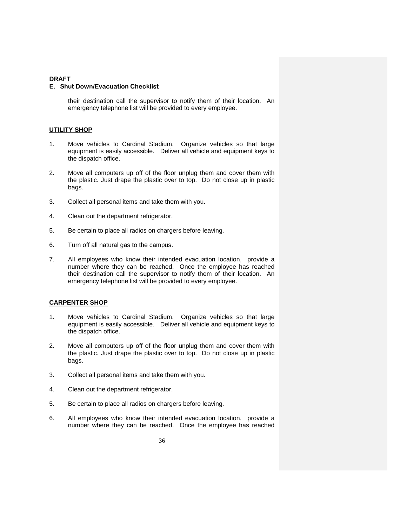#### **E. Shut Down/Evacuation Checklist**

their destination call the supervisor to notify them of their location. An emergency telephone list will be provided to every employee.

#### **UTILITY SHOP**

- 1. Move vehicles to Cardinal Stadium. Organize vehicles so that large equipment is easily accessible. Deliver all vehicle and equipment keys to the dispatch office.
- 2. Move all computers up off of the floor unplug them and cover them with the plastic. Just drape the plastic over to top. Do not close up in plastic bags.
- 3. Collect all personal items and take them with you.
- 4. Clean out the department refrigerator.
- 5. Be certain to place all radios on chargers before leaving.
- 6. Turn off all natural gas to the campus.
- 7. All employees who know their intended evacuation location, provide a number where they can be reached. Once the employee has reached their destination call the supervisor to notify them of their location. An emergency telephone list will be provided to every employee.

#### **CARPENTER SHOP**

- 1. Move vehicles to Cardinal Stadium. Organize vehicles so that large equipment is easily accessible. Deliver all vehicle and equipment keys to the dispatch office.
- 2. Move all computers up off of the floor unplug them and cover them with the plastic. Just drape the plastic over to top. Do not close up in plastic bags.
- 3. Collect all personal items and take them with you.
- 4. Clean out the department refrigerator.
- 5. Be certain to place all radios on chargers before leaving.
- 6. All employees who know their intended evacuation location, provide a number where they can be reached. Once the employee has reached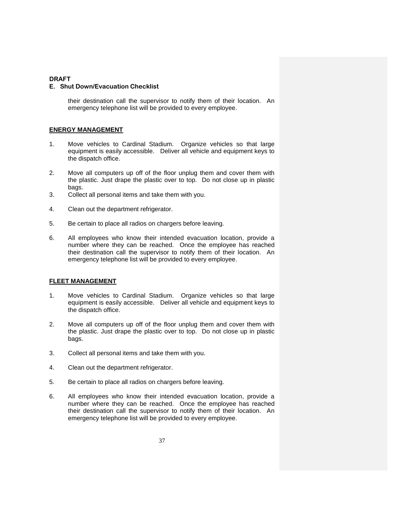#### **E. Shut Down/Evacuation Checklist**

their destination call the supervisor to notify them of their location. An emergency telephone list will be provided to every employee.

#### **ENERGY MANAGEMENT**

- 1. Move vehicles to Cardinal Stadium. Organize vehicles so that large equipment is easily accessible. Deliver all vehicle and equipment keys to the dispatch office.
- 2. Move all computers up off of the floor unplug them and cover them with the plastic. Just drape the plastic over to top. Do not close up in plastic bags.
- 3. Collect all personal items and take them with you.
- 4. Clean out the department refrigerator.
- 5. Be certain to place all radios on chargers before leaving.
- 6. All employees who know their intended evacuation location, provide a number where they can be reached. Once the employee has reached their destination call the supervisor to notify them of their location. An emergency telephone list will be provided to every employee.

#### **FLEET MANAGEMENT**

- 1. Move vehicles to Cardinal Stadium. Organize vehicles so that large equipment is easily accessible. Deliver all vehicle and equipment keys to the dispatch office.
- 2. Move all computers up off of the floor unplug them and cover them with the plastic. Just drape the plastic over to top. Do not close up in plastic bags.
- 3. Collect all personal items and take them with you.
- 4. Clean out the department refrigerator.
- 5. Be certain to place all radios on chargers before leaving.
- 6. All employees who know their intended evacuation location, provide a number where they can be reached. Once the employee has reached their destination call the supervisor to notify them of their location. An emergency telephone list will be provided to every employee.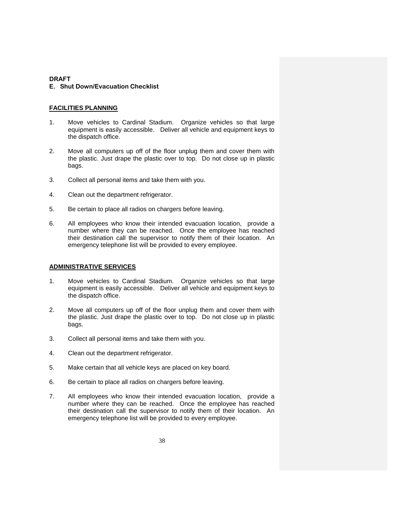### **E. Shut Down/Evacuation Checklist**

### **FACILITIES PLANNING**

- 1. Move vehicles to Cardinal Stadium. Organize vehicles so that large equipment is easily accessible. Deliver all vehicle and equipment keys to the dispatch office.
- 2. Move all computers up off of the floor unplug them and cover them with the plastic. Just drape the plastic over to top. Do not close up in plastic bags.
- 3. Collect all personal items and take them with you.
- 4. Clean out the department refrigerator.
- 5. Be certain to place all radios on chargers before leaving.
- 6. All employees who know their intended evacuation location, provide a number where they can be reached. Once the employee has reached their destination call the supervisor to notify them of their location. An emergency telephone list will be provided to every employee.

## **ADMINISTRATIVE SERVICES**

- 1. Move vehicles to Cardinal Stadium. Organize vehicles so that large equipment is easily accessible. Deliver all vehicle and equipment keys to the dispatch office.
- 2. Move all computers up off of the floor unplug them and cover them with the plastic. Just drape the plastic over to top. Do not close up in plastic bags.
- 3. Collect all personal items and take them with you.
- 4. Clean out the department refrigerator.
- 5. Make certain that all vehicle keys are placed on key board.
- 6. Be certain to place all radios on chargers before leaving.
- 7. All employees who know their intended evacuation location, provide a number where they can be reached. Once the employee has reached their destination call the supervisor to notify them of their location. An emergency telephone list will be provided to every employee.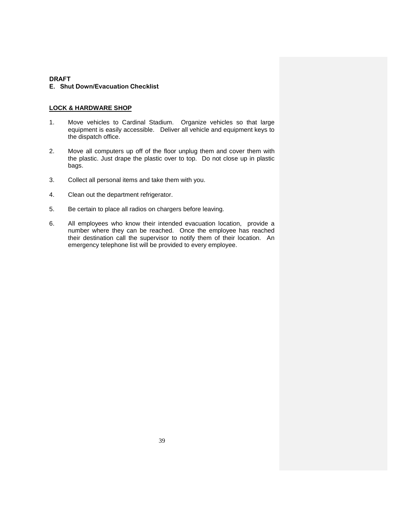## **LOCK & HARDWARE SHOP**

- 1. Move vehicles to Cardinal Stadium. Organize vehicles so that large equipment is easily accessible. Deliver all vehicle and equipment keys to the dispatch office.
- 2. Move all computers up off of the floor unplug them and cover them with the plastic. Just drape the plastic over to top. Do not close up in plastic bags.
- 3. Collect all personal items and take them with you.
- 4. Clean out the department refrigerator.
- 5. Be certain to place all radios on chargers before leaving.
- 6. All employees who know their intended evacuation location, provide a number where they can be reached. Once the employee has reached their destination call the supervisor to notify them of their location. An emergency telephone list will be provided to every employee.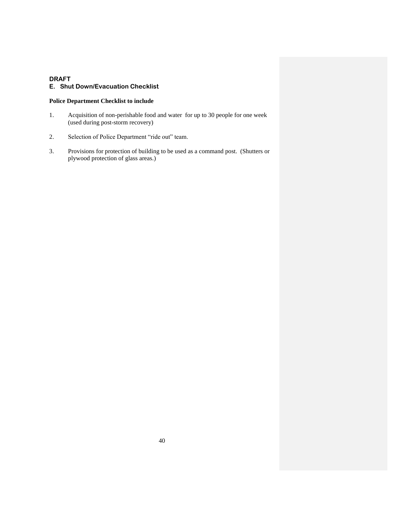## **E. Shut Down/Evacuation Checklist**

## **Police Department Checklist to include**

- 1. Acquisition of non-perishable food and water for up to 30 people for one week (used during post-storm recovery)
- 2. Selection of Police Department "ride out" team.
- 3. Provisions for protection of building to be used as a command post. (Shutters or plywood protection of glass areas.)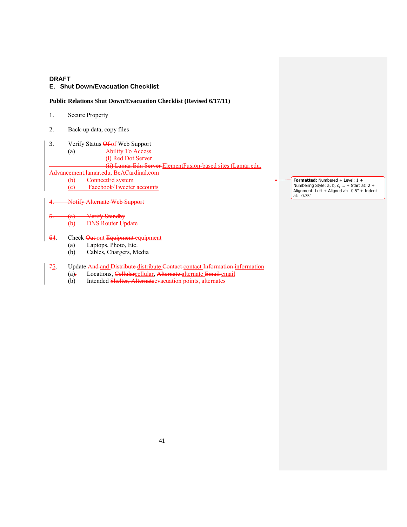### **E. Shut Down/Evacuation Checklist**

### **Public Relations Shut Down/Evacuation Checklist (Revised 6/17/11)**

- 1. Secure Property
- 2. Back-up data, copy files
- 3. Verify Status Of of Web Support (a) Ability To Access (i) Red Dot Server (ii) Lamar.Edu Server ElementFusion-based sites (Lamar.edu, Advancement.lamar.edu, BeACardinal.com (b) ConnectEd system (c) Facebook/Tweeter accounts

**Formatted:** Numbered + Level: 1 + Numbering Style: a, b, c, … + Start at: 2 + Alignment: Left + Aligned at: 0.5" + Indent at: 0.75"

Notify Alternate Web Support

- (a) Verify Standby<br>(b) DNS Router Up **DNS Router Update**
- 64. Check Out out Equipment equipment
	- (a) Laptops, Photo, Etc.
	- (b) Cables, Chargers, Media
- 75. Update And and Distribute distribute Contact contact Information information
	- (a). Locations, Cellularcellular, Alternate-alternate Email email
		- (b) Intended Shelter, Alternategyacuation points, alternates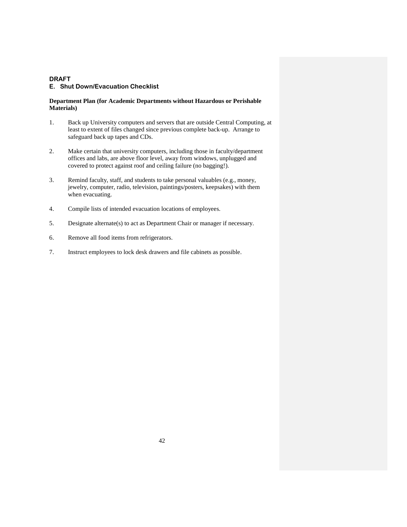## **Department Plan (for Academic Departments without Hazardous or Perishable Materials)**

- 1. Back up University computers and servers that are outside Central Computing, at least to extent of files changed since previous complete back-up. Arrange to safeguard back up tapes and CDs.
- 2. Make certain that university computers, including those in faculty/department offices and labs, are above floor level, away from windows, unplugged and covered to protect against roof and ceiling failure (no bagging!).
- 3. Remind faculty, staff, and students to take personal valuables (e.g., money, jewelry, computer, radio, television, paintings/posters, keepsakes) with them when evacuating.
- 4. Compile lists of intended evacuation locations of employees.
- 5. Designate alternate(s) to act as Department Chair or manager if necessary.
- 6. Remove all food items from refrigerators.
- 7. Instruct employees to lock desk drawers and file cabinets as possible.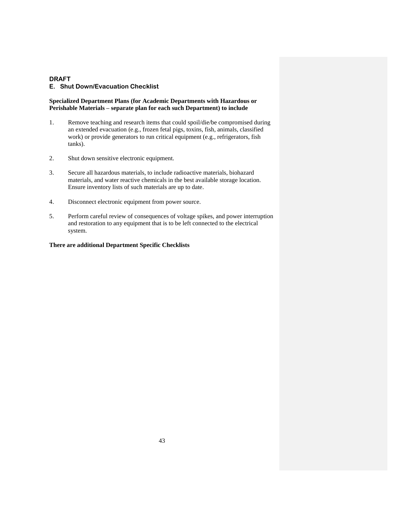### **Specialized Department Plans (for Academic Departments with Hazardous or Perishable Materials – separate plan for each such Department) to include**

- 1. Remove teaching and research items that could spoil/die/be compromised during an extended evacuation (e.g., frozen fetal pigs, toxins, fish, animals, classified work) or provide generators to run critical equipment (e.g., refrigerators, fish tanks).
- 2. Shut down sensitive electronic equipment.
- 3. Secure all hazardous materials, to include radioactive materials, biohazard materials, and water reactive chemicals in the best available storage location. Ensure inventory lists of such materials are up to date.
- 4. Disconnect electronic equipment from power source.
- 5. Perform careful review of consequences of voltage spikes, and power interruption and restoration to any equipment that is to be left connected to the electrical system.

### **There are additional Department Specific Checklists**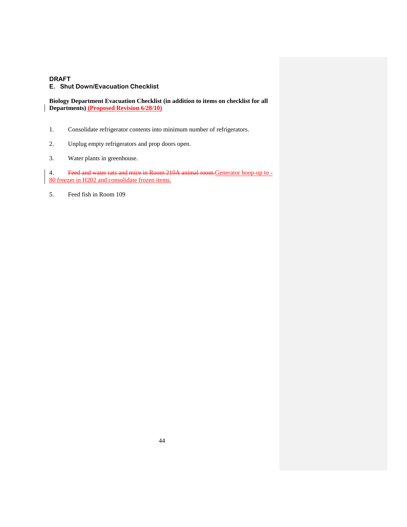## **E. Shut Down/Evacuation Checklist**

**Biology Department Evacuation Checklist (in addition to items on checklist for all Departments) (Proposed Revision 6/28/10)**

- 1. Consolidate refrigerator contents into minimum number of refrigerators.
- 2. Unplug empty refrigerators and prop doors open.
- 3. Water plants in greenhouse.

4. Feed and water rats and mice in Room 210A animal room.Generator hoop-up to - 80 freezer in H202 and consolidate frozen items.

5. Feed fish in Room 109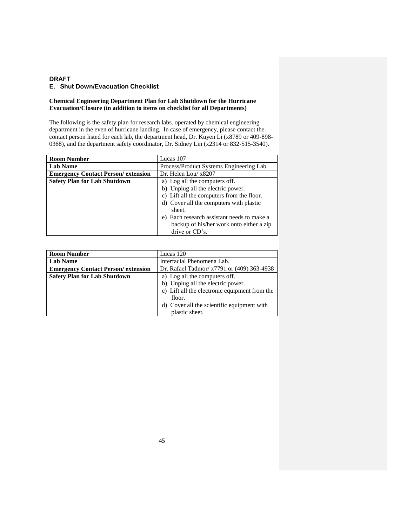## **Chemical Engineering Department Plan for Lab Shutdown for the Hurricane Evacuation/Closure (in addition to items on checklist for all Departments)**

The following is the safety plan for research labs. operated by chemical engineering department in the even of hurricane landing. In case of emergency, please contact the contact person listed for each lab, the department head, Dr. Kuyen Li (x8789 or 409-898- 0368), and the department safety coordinator, Dr. Sidney Lin (x2314 or 832-515-3540).

| Lucas 107                                  |
|--------------------------------------------|
| Process/Product Systems Engineering Lab.   |
| Dr. Helen Lou/ x8207                       |
| a) Log all the computers off.              |
| b) Unplug all the electric power.          |
| c) Lift all the computers from the floor.  |
| d) Cover all the computers with plastic    |
| sheet.                                     |
| e) Each research assistant needs to make a |
| backup of his/her work onto either a zip   |
| drive or CD's.                             |
|                                            |

| <b>Room Number</b>                         | Lucas 120                                     |
|--------------------------------------------|-----------------------------------------------|
| <b>Lab Name</b>                            | Interfacial Phenomena Lab.                    |
| <b>Emergency Contact Person/ extension</b> | Dr. Rafael Tadmor/ x7791 or (409) 363-4938    |
| <b>Safety Plan for Lab Shutdown</b>        | a) Log all the computers off.                 |
|                                            | b) Unplug all the electric power.             |
|                                            | c) Lift all the electronic equipment from the |
|                                            | floor.                                        |
|                                            | d) Cover all the scientific equipment with    |
|                                            | plastic sheet.                                |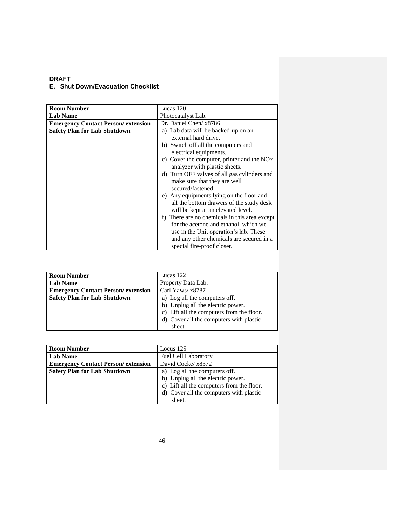| <b>Room Number</b>                         | Lucas 120                                              |
|--------------------------------------------|--------------------------------------------------------|
| <b>Lab Name</b>                            | Photocatalyst Lab.                                     |
| <b>Emergency Contact Person/ extension</b> | Dr. Daniel Chen/ x8786                                 |
| <b>Safety Plan for Lab Shutdown</b>        | a) Lab data will be backed-up on an                    |
|                                            | external hard drive.                                   |
|                                            | b) Switch off all the computers and                    |
|                                            | electrical equipments.                                 |
|                                            | c) Cover the computer, printer and the NO <sub>x</sub> |
|                                            | analyzer with plastic sheets.                          |
|                                            | d) Turn OFF valves of all gas cylinders and            |
|                                            | make sure that they are well                           |
|                                            | secured/fastened.                                      |
|                                            | e) Any equipments lying on the floor and               |
|                                            | all the bottom drawers of the study desk               |
|                                            | will be kept at an elevated level.                     |
|                                            | f) There are no chemicals in this area except          |
|                                            | for the acetone and ethanol, which we                  |
|                                            | use in the Unit operation's lab. These                 |
|                                            | and any other chemicals are secured in a               |
|                                            | special fire-proof closet.                             |

| <b>Room Number</b>                         | Lucas 122                                 |
|--------------------------------------------|-------------------------------------------|
| <b>Lab Name</b>                            | Property Data Lab.                        |
| <b>Emergency Contact Person/ extension</b> | Carl Yaws/ x8787                          |
| <b>Safety Plan for Lab Shutdown</b>        | a) Log all the computers off.             |
|                                            | b) Unplug all the electric power.         |
|                                            | c) Lift all the computers from the floor. |
|                                            | d) Cover all the computers with plastic   |
|                                            | sheet.                                    |

| <b>Room Number</b>                         | Locus $125$                               |
|--------------------------------------------|-------------------------------------------|
| <b>Lab Name</b>                            | <b>Fuel Cell Laboratory</b>               |
| <b>Emergency Contact Person/ extension</b> | David Cocke/ x8372                        |
| <b>Safety Plan for Lab Shutdown</b>        | a) Log all the computers off.             |
|                                            | b) Unplug all the electric power.         |
|                                            | c) Lift all the computers from the floor. |
|                                            | d) Cover all the computers with plastic   |
|                                            | sheet.                                    |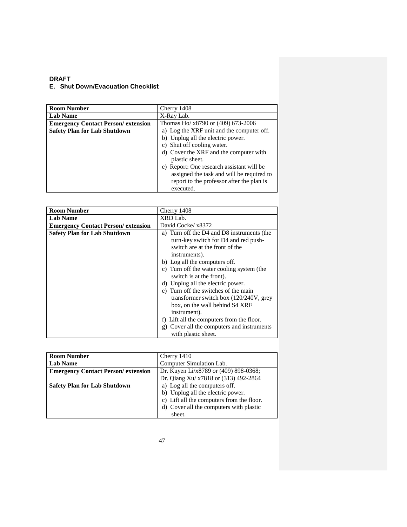| <b>Room Number</b>                         | Cherry 1408                               |
|--------------------------------------------|-------------------------------------------|
| <b>Lab Name</b>                            | X-Ray Lab.                                |
| <b>Emergency Contact Person/ extension</b> | Thomas Ho/ x8790 or (409) 673-2006        |
| <b>Safety Plan for Lab Shutdown</b>        | a) Log the XRF unit and the computer off. |
|                                            | b) Unplug all the electric power.         |
|                                            | c) Shut off cooling water.                |
|                                            | d) Cover the XRF and the computer with    |
|                                            | plastic sheet.                            |
|                                            | e) Report: One research assistant will be |
|                                            | assigned the task and will be required to |
|                                            | report to the professor after the plan is |
|                                            | executed.                                 |

| <b>Room Number</b>                         | Cherry 1408                                   |
|--------------------------------------------|-----------------------------------------------|
| <b>Lab Name</b>                            | XRD Lab.                                      |
| <b>Emergency Contact Person/ extension</b> | David Cocke/ x8372                            |
| <b>Safety Plan for Lab Shutdown</b>        | a) Turn off the D4 and D8 instruments (the    |
|                                            | turn-key switch for D4 and red push-          |
|                                            | switch are at the front of the                |
|                                            | instruments).                                 |
|                                            | b) Log all the computers off.                 |
|                                            | c) Turn off the water cooling system (the     |
|                                            | switch is at the front).                      |
|                                            | d) Unplug all the electric power.             |
|                                            | e) Turn off the switches of the main          |
|                                            | transformer switch box (120/240V, grey        |
|                                            | box, on the wall behind S4 XRF                |
|                                            | instrument).                                  |
|                                            | f) Lift all the computers from the floor.     |
|                                            | Cover all the computers and instruments<br>g) |
|                                            | with plastic sheet.                           |

| <b>Room Number</b>                        | Cherry 1410                               |
|-------------------------------------------|-------------------------------------------|
| <b>Lab Name</b>                           | Computer Simulation Lab.                  |
| <b>Emergency Contact Person/extension</b> | Dr. Kuyen Li/x8789 or (409) 898-0368;     |
|                                           | Dr. Qiang Xu/ x7818 or (313) 492-2864     |
| <b>Safety Plan for Lab Shutdown</b>       | a) Log all the computers off.             |
|                                           | b) Unplug all the electric power.         |
|                                           | c) Lift all the computers from the floor. |
|                                           | d) Cover all the computers with plastic   |
|                                           | sheet.                                    |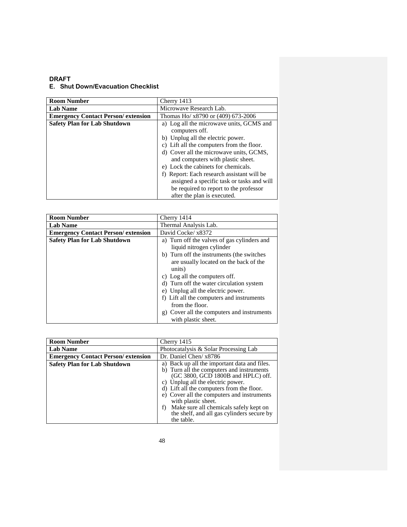| <b>Room Number</b>                         | Cherry 1413                                |
|--------------------------------------------|--------------------------------------------|
| <b>Lab Name</b>                            | Microwave Research Lab.                    |
| <b>Emergency Contact Person/ extension</b> | Thomas Ho/ x8790 or (409) 673-2006         |
| <b>Safety Plan for Lab Shutdown</b>        | a) Log all the microwave units, GCMS and   |
|                                            | computers off.                             |
|                                            | b) Unplug all the electric power.          |
|                                            | c) Lift all the computers from the floor.  |
|                                            | d) Cover all the microwave units, GCMS,    |
|                                            | and computers with plastic sheet.          |
|                                            | e) Lock the cabinets for chemicals.        |
|                                            | f) Report: Each research assistant will be |
|                                            | assigned a specific task or tasks and will |
|                                            | be required to report to the professor     |
|                                            | after the plan is executed.                |

| <b>Room Number</b>                         | Cherry 1414                                                                                                                                                                                                                                                                                                                                                                                                                     |
|--------------------------------------------|---------------------------------------------------------------------------------------------------------------------------------------------------------------------------------------------------------------------------------------------------------------------------------------------------------------------------------------------------------------------------------------------------------------------------------|
| <b>Lab Name</b>                            | Thermal Analysis Lab.                                                                                                                                                                                                                                                                                                                                                                                                           |
| <b>Emergency Contact Person/ extension</b> | David Cocke/ x8372                                                                                                                                                                                                                                                                                                                                                                                                              |
| <b>Safety Plan for Lab Shutdown</b>        | a) Turn off the valves of gas cylinders and<br>liquid nitrogen cylinder<br>b) Turn off the instruments (the switches<br>are usually located on the back of the<br>units)<br>c) Log all the computers off.<br>d) Turn off the water circulation system<br>e) Unplug all the electric power.<br>f) Lift all the computers and instruments<br>from the floor.<br>g) Cover all the computers and instruments<br>with plastic sheet. |

| <b>Room Number</b>                         | Cherry 1415                                                                                                                                                                                                                                                                                                                                                                                        |
|--------------------------------------------|----------------------------------------------------------------------------------------------------------------------------------------------------------------------------------------------------------------------------------------------------------------------------------------------------------------------------------------------------------------------------------------------------|
| <b>Lab Name</b>                            | Photocatalysis & Solar Processing Lab                                                                                                                                                                                                                                                                                                                                                              |
| <b>Emergency Contact Person/ extension</b> | Dr. Daniel Chen/ x8786                                                                                                                                                                                                                                                                                                                                                                             |
| <b>Safety Plan for Lab Shutdown</b>        | a) Back up all the important data and files.<br>b) Turn all the computers and instruments<br>(GC 3800, GCD 1800B and HPLC) off.<br>c) Unplug all the electric power.<br>d) Lift all the computers from the floor.<br>e) Cover all the computers and instruments<br>with plastic sheet.<br>Make sure all chemicals safely kept on<br>f)<br>the shelf, and all gas cylinders secure by<br>the table. |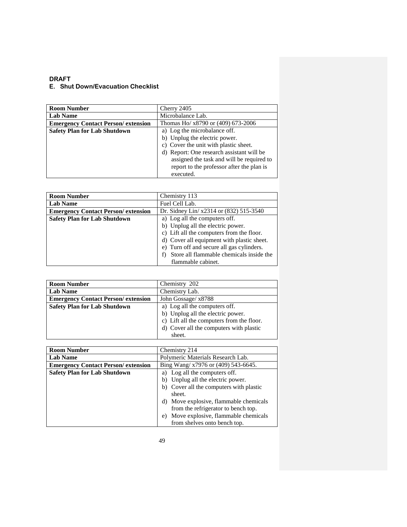| <b>Room Number</b>                         | Cherry 2405                                                                                                                                                                                                                                                |
|--------------------------------------------|------------------------------------------------------------------------------------------------------------------------------------------------------------------------------------------------------------------------------------------------------------|
| <b>Lab Name</b>                            | Microbalance Lab.                                                                                                                                                                                                                                          |
| <b>Emergency Contact Person/ extension</b> | Thomas Ho/ x8790 or (409) 673-2006                                                                                                                                                                                                                         |
| <b>Safety Plan for Lab Shutdown</b>        | a) Log the microbalance off.<br>b) Unplug the electric power.<br>c) Cover the unit with plastic sheet.<br>d) Report: One research assistant will be<br>assigned the task and will be required to<br>report to the professor after the plan is<br>executed. |

| <b>Room Number</b>                         | Chemistry 113                              |
|--------------------------------------------|--------------------------------------------|
| <b>Lab Name</b>                            | Fuel Cell Lab.                             |
| <b>Emergency Contact Person/ extension</b> | Dr. Sidney Lin/ x2314 or (832) 515-3540    |
| <b>Safety Plan for Lab Shutdown</b>        | a) Log all the computers off.              |
|                                            | b) Unplug all the electric power.          |
|                                            | c) Lift all the computers from the floor.  |
|                                            | d) Cover all equipment with plastic sheet. |
|                                            | e) Turn off and secure all gas cylinders.  |
|                                            | Store all flammable chemicals inside the   |
|                                            | flammable cabinet.                         |

| <b>Room Number</b>                         | Chemistry 202                             |
|--------------------------------------------|-------------------------------------------|
| <b>Lab Name</b>                            | Chemistry Lab.                            |
| <b>Emergency Contact Person/ extension</b> | John Gossage/ x8788                       |
| <b>Safety Plan for Lab Shutdown</b>        | a) Log all the computers off.             |
|                                            | b) Unplug all the electric power.         |
|                                            | c) Lift all the computers from the floor. |
|                                            | d) Cover all the computers with plastic   |
|                                            | sheet.                                    |

| <b>Room Number</b>                         | Chemistry 214                             |
|--------------------------------------------|-------------------------------------------|
| <b>Lab Name</b>                            | Polymeric Materials Research Lab.         |
| <b>Emergency Contact Person/ extension</b> | Bing Wang/ x7976 or (409) 543-6645.       |
| <b>Safety Plan for Lab Shutdown</b>        | Log all the computers off.<br>a)          |
|                                            | b) Unplug all the electric power.         |
|                                            | b) Cover all the computers with plastic   |
|                                            | sheet.                                    |
|                                            | d) Move explosive, flammable chemicals    |
|                                            | from the refrigerator to bench top.       |
|                                            | Move explosive, flammable chemicals<br>e) |
|                                            | from shelves onto bench top.              |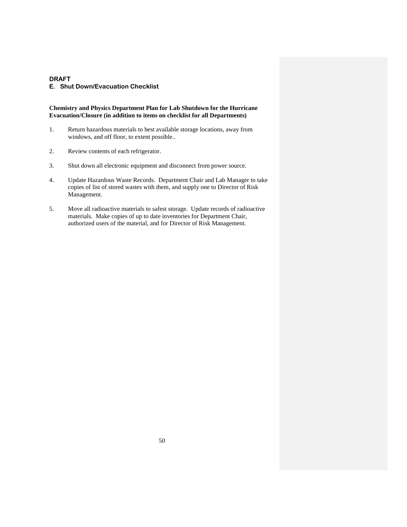### **E. Shut Down/Evacuation Checklist**

#### **Chemistry and Physics Department Plan for Lab Shutdown for the Hurricane Evacuation/Closure (in addition to items on checklist for all Departments)**

- 1. Return hazardous materials to best available storage locations, away from windows, and off floor, to extent possible..
- 2. Review contents of each refrigerator.
- 3. Shut down all electronic equipment and disconnect from power source.
- 4. Update Hazardous Waste Records. Department Chair and Lab Manager to take copies of list of stored wastes with them, and supply one to Director of Risk Management.
- 5. Move all radioactive materials to safest storage. Update records of radioactive materials. Make copies of up to date inventories for Department Chair, authorized users of the material, and for Director of Risk Management.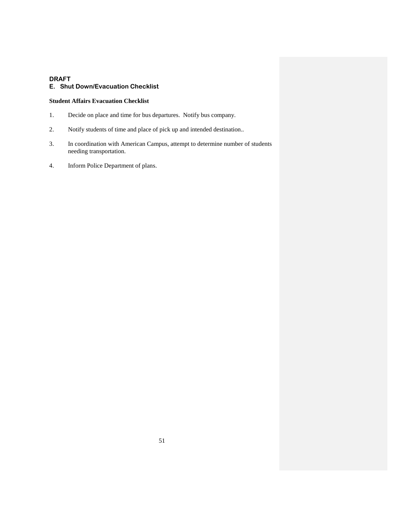## **E. Shut Down/Evacuation Checklist**

## **Student Affairs Evacuation Checklist**

- 1. Decide on place and time for bus departures. Notify bus company.
- 2. Notify students of time and place of pick up and intended destination..
- 3. In coordination with American Campus, attempt to determine number of students needing transportation.
- 4. Inform Police Department of plans.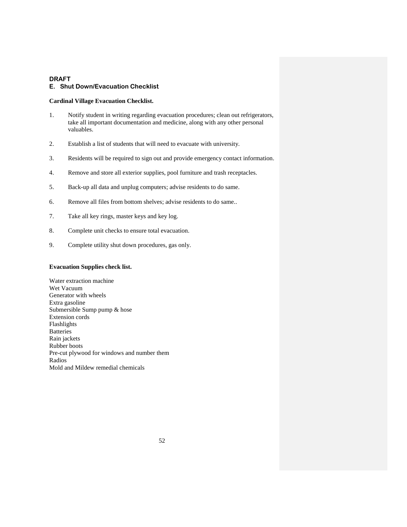### **E. Shut Down/Evacuation Checklist**

### **Cardinal Village Evacuation Checklist.**

- 1. Notify student in writing regarding evacuation procedures; clean out refrigerators, take all important documentation and medicine, along with any other personal valuables.
- 2. Establish a list of students that will need to evacuate with university.
- 3. Residents will be required to sign out and provide emergency contact information.
- 4. Remove and store all exterior supplies, pool furniture and trash receptacles.
- 5. Back-up all data and unplug computers; advise residents to do same.
- 6. Remove all files from bottom shelves; advise residents to do same..
- 7. Take all key rings, master keys and key log.
- 8. Complete unit checks to ensure total evacuation.
- 9. Complete utility shut down procedures, gas only.

## **Evacuation Supplies check list.**

Water extraction machine Wet Vacuum Generator with wheels Extra gasoline Submersible Sump pump & hose Extension cords Flashlights **Batteries** Rain jackets Rubber boots Pre-cut plywood for windows and number them Radios Mold and Mildew remedial chemicals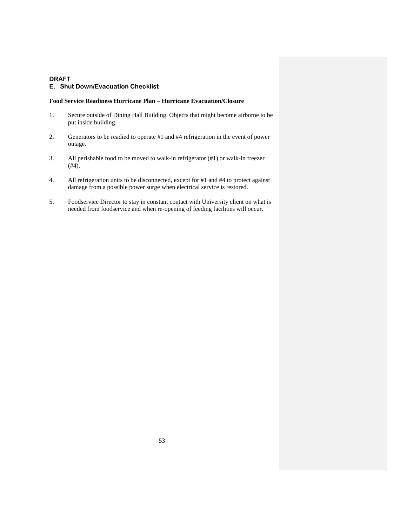### **E. Shut Down/Evacuation Checklist**

#### **Food Service Readiness Hurricane Plan – Hurricane Evacuation/Closure**

- 1. Secure outside of Dining Hall Building. Objects that might become airborne to be put inside building.
- 2. Generators to be readied to operate #1 and #4 refrigeration in the event of power outage.
- 3. All perishable food to be moved to walk-in refrigerator (#1) or walk-in freezer  $(+4)$ .
- 4. All refrigeration units to be disconnected, except for #1 and #4 to protect against damage from a possible power surge when electrical service is restored.
- 5. Foodservice Director to stay in constant contact with University client on what is needed from foodservice and when re-opening of feeding facilities will occur.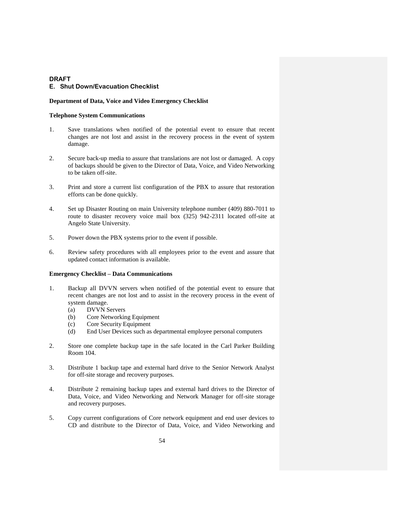#### **Department of Data, Voice and Video Emergency Checklist**

#### **Telephone System Communications**

- 1. Save translations when notified of the potential event to ensure that recent changes are not lost and assist in the recovery process in the event of system damage.
- 2. Secure back-up media to assure that translations are not lost or damaged. A copy of backups should be given to the Director of Data, Voice, and Video Networking to be taken off-site.
- 3. Print and store a current list configuration of the PBX to assure that restoration efforts can be done quickly.
- 4. Set up Disaster Routing on main University telephone number (409) 880-7011 to route to disaster recovery voice mail box (325) 942-2311 located off-site at Angelo State University.
- 5. Power down the PBX systems prior to the event if possible.
- 6. Review safety procedures with all employees prior to the event and assure that updated contact information is available.

#### **Emergency Checklist – Data Communications**

- 1. Backup all DVVN servers when notified of the potential event to ensure that recent changes are not lost and to assist in the recovery process in the event of system damage.
	- (a) DVVN Servers
	- (b) Core Networking Equipment
	- (c) Core Security Equipment
	- (d) End User Devices such as departmental employee personal computers
- 2. Store one complete backup tape in the safe located in the Carl Parker Building Room 104.
- 3. Distribute 1 backup tape and external hard drive to the Senior Network Analyst for off-site storage and recovery purposes.
- 4. Distribute 2 remaining backup tapes and external hard drives to the Director of Data, Voice, and Video Networking and Network Manager for off-site storage and recovery purposes.
- 5. Copy current configurations of Core network equipment and end user devices to CD and distribute to the Director of Data, Voice, and Video Networking and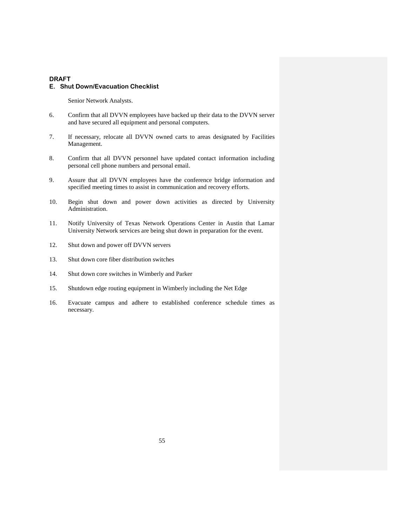Senior Network Analysts.

- 6. Confirm that all DVVN employees have backed up their data to the DVVN server and have secured all equipment and personal computers.
- 7. If necessary, relocate all DVVN owned carts to areas designated by Facilities Management.
- 8. Confirm that all DVVN personnel have updated contact information including personal cell phone numbers and personal email.
- 9. Assure that all DVVN employees have the conference bridge information and specified meeting times to assist in communication and recovery efforts.
- 10. Begin shut down and power down activities as directed by University Administration.
- 11. Notify University of Texas Network Operations Center in Austin that Lamar University Network services are being shut down in preparation for the event.
- 12. Shut down and power off DVVN servers
- 13. Shut down core fiber distribution switches
- 14. Shut down core switches in Wimberly and Parker
- 15. Shutdown edge routing equipment in Wimberly including the Net Edge
- 16. Evacuate campus and adhere to established conference schedule times as necessary.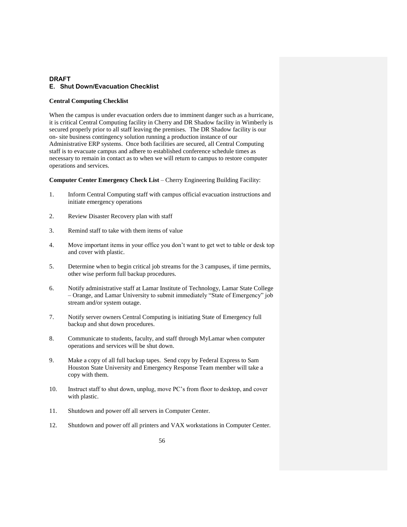### **Central Computing Checklist**

When the campus is under evacuation orders due to imminent danger such as a hurricane, it is critical Central Computing facility in Cherry and DR Shadow facility in Wimberly is secured properly prior to all staff leaving the premises. The DR Shadow facility is our on- site business contingency solution running a production instance of our Administrative ERP systems. Once both facilities are secured, all Central Computing staff is to evacuate campus and adhere to established conference schedule times as necessary to remain in contact as to when we will return to campus to restore computer operations and services.

#### **Computer Center Emergency Check List** – Cherry Engineering Building Facility:

- 1. Inform Central Computing staff with campus official evacuation instructions and initiate emergency operations
- 2. Review Disaster Recovery plan with staff
- 3. Remind staff to take with them items of value
- 4. Move important items in your office you don't want to get wet to table or desk top and cover with plastic.
- 5. Determine when to begin critical job streams for the 3 campuses, if time permits, other wise perform full backup procedures.
- 6. Notify administrative staff at Lamar Institute of Technology, Lamar State College – Orange, and Lamar University to submit immediately "State of Emergency" job stream and/or system outage.
- 7. Notify server owners Central Computing is initiating State of Emergency full backup and shut down procedures.
- 8. Communicate to students, faculty, and staff through MyLamar when computer operations and services will be shut down.
- 9. Make a copy of all full backup tapes. Send copy by Federal Express to Sam Houston State University and Emergency Response Team member will take a copy with them.
- 10. Instruct staff to shut down, unplug, move PC's from floor to desktop, and cover with plastic.
- 11. Shutdown and power off all servers in Computer Center.
- 12. Shutdown and power off all printers and VAX workstations in Computer Center.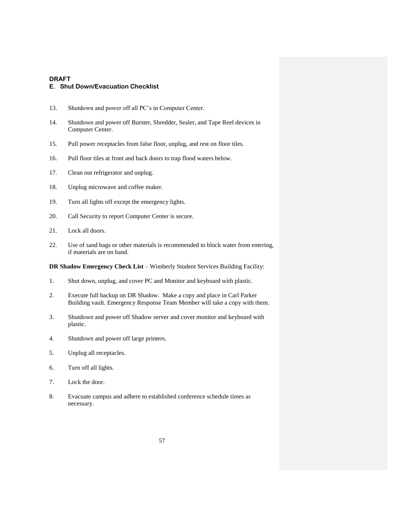- 13. Shutdown and power off all PC's in Computer Center.
- 14. Shutdown and power off Burster, Shredder, Sealer, and Tape Reel devices in Computer Center.
- 15. Pull power receptacles from false floor, unplug, and rest on floor tiles.
- 16. Pull floor tiles at front and back doors to trap flood waters below.
- 17. Clean out refrigerator and unplug.
- 18. Unplug microwave and coffee maker.
- 19. Turn all lights off except the emergency lights.
- 20. Call Security to report Computer Center is secure.
- 21. Lock all doors.
- 22. Use of sand bags or other materials is recommended to block water from entering, if materials are on hand.

**DR Shadow Emergency Check List** – Wimberly Student Services Building Facility:

- 1. Shut down, unplug, and cover PC and Monitor and keyboard with plastic.
- 2. Execute full backup on DR Shadow. Make a copy and place in Carl Parker Building vault. Emergency Response Team Member will take a copy with them.
- 3. Shutdown and power off Shadow server and cover monitor and keyboard with plastic.
- 4. Shutdown and power off large printers.
- 5. Unplug all receptacles.
- 6. Turn off all lights.
- 7. Lock the door.
- 8. Evacuate campus and adhere to established conference schedule times as necessary.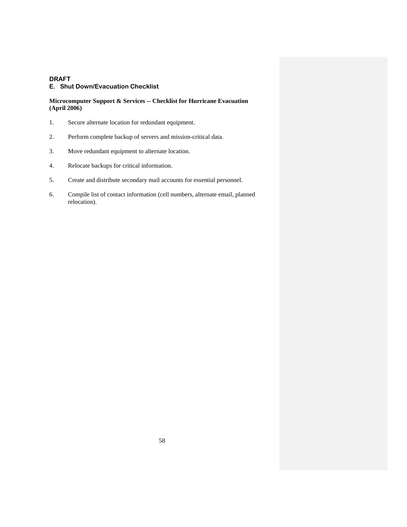### **E. Shut Down/Evacuation Checklist**

### **Microcomputer Support & Services -- Checklist for Hurricane Evacuation (April 2006)**

- 1. Secure alternate location for redundant equipment.
- 2. Perform complete backup of servers and mission-critical data.
- 3. Move redundant equipment to alternate location.
- 4. Relocate backups for critical information.
- 5. Create and distribute secondary mail accounts for essential personnel.
- 6. Compile list of contact information (cell numbers, alternate email, planned relocation).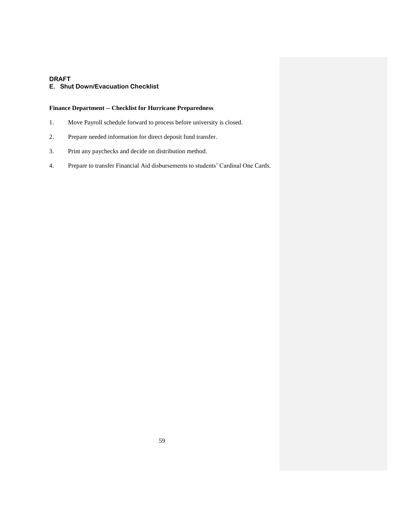## **E. Shut Down/Evacuation Checklist**

## **Finance Department -- Checklist for Hurricane Preparedness**

- 1. Move Payroll schedule forward to process before university is closed.
- 2. Prepare needed information for direct deposit fund transfer.
- 3. Print any paychecks and decide on distribution method.
- 4. Prepare to transfer Financial Aid disbursements to students' Cardinal One Cards.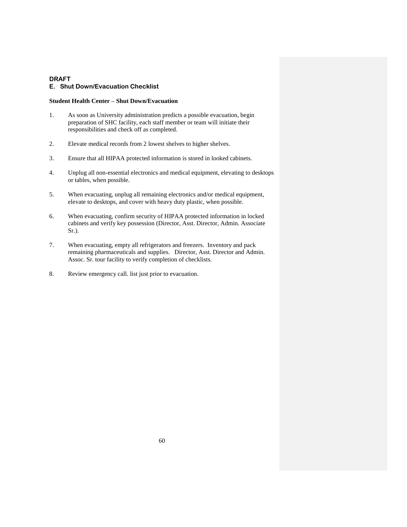## **E. Shut Down/Evacuation Checklist**

### **Student Health Center – Shut Down/Evacuation**

- 1. As soon as University administration predicts a possible evacuation, begin preparation of SHC facility, each staff member or team will initiate their responsibilities and check off as completed.
- 2. Elevate medical records from 2 lowest shelves to higher shelves.
- 3. Ensure that all HIPAA protected information is stored in looked cabinets.
- 4. Unplug all non-essential electronics and medical equipment, elevating to desktops or tables, when possible.
- 5. When evacuating, unplug all remaining electronics and/or medical equipment, elevate to desktops, and cover with heavy duty plastic, when possible.
- 6. When evacuating, confirm security of HIPAA protected information in locked cabinets and verify key possession (Director, Asst. Director, Admin. Associate Sr.).
- 7. When evacuating, empty all refrigerators and freezers. Inventory and pack remaining pharmaceuticals and supplies. Director, Asst. Director and Admin. Assoc. Sr. tour facility to verify completion of checklists.
- 8. Review emergency call. list just prior to evacuation.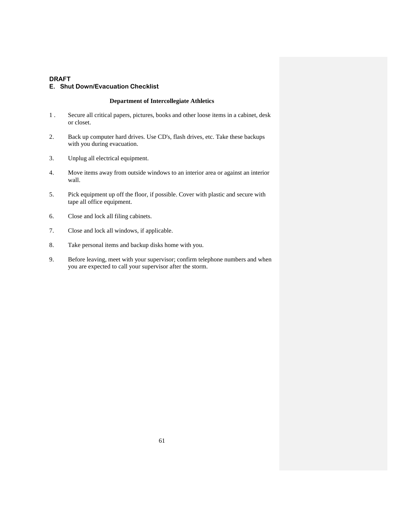### **E. Shut Down/Evacuation Checklist**

## **Department of Intercollegiate Athletics**

- 1 . Secure all critical papers, pictures, books and other loose items in a cabinet, desk or closet.
- 2. Back up computer hard drives. Use CD's, flash drives, etc. Take these backups with you during evacuation.
- 3. Unplug all electrical equipment.
- 4. Move items away from outside windows to an interior area or against an interior wall.
- 5. Pick equipment up off the floor, if possible. Cover with plastic and secure with tape all office equipment.
- 6. Close and lock all filing cabinets.
- 7. Close and lock all windows, if applicable.
- 8. Take personal items and backup disks home with you.
- 9. Before leaving, meet with your supervisor; confirm telephone numbers and when you are expected to call your supervisor after the storm.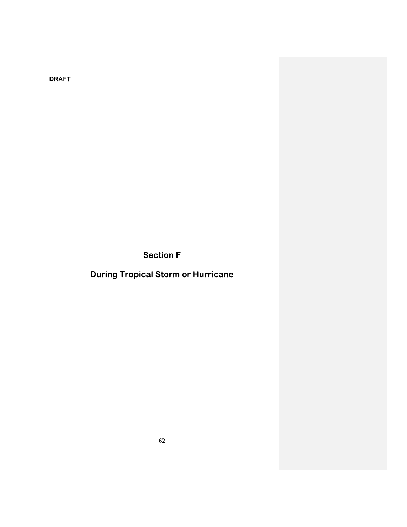**Section F**

**During Tropical Storm or Hurricane**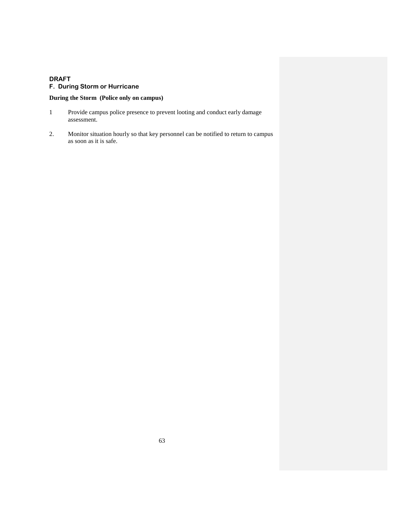## **DRAFT F. During Storm or Hurricane**

## **During the Storm (Police only on campus)**

- 1 Provide campus police presence to prevent looting and conduct early damage assessment.
- 2. Monitor situation hourly so that key personnel can be notified to return to campus as soon as it is safe.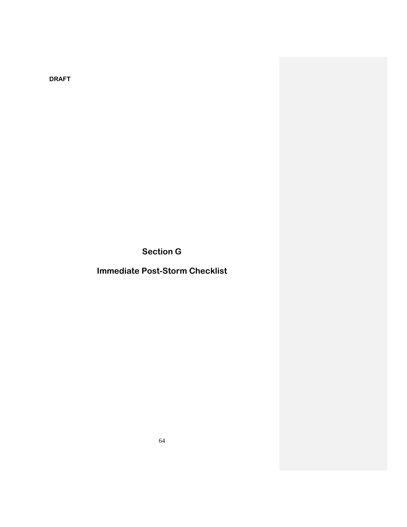**Section G**

**Immediate Post-Storm Checklist**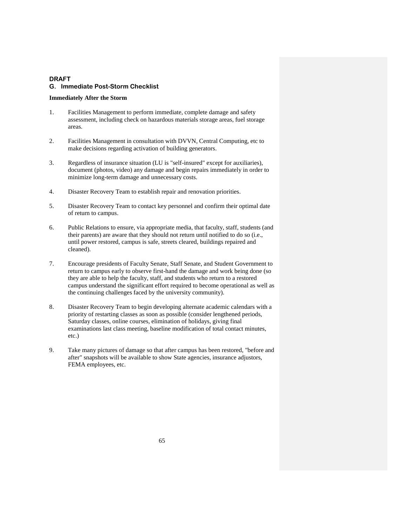#### **Immediately After the Storm**

- 1. Facilities Management to perform immediate, complete damage and safety assessment, including check on hazardous materials storage areas, fuel storage areas.
- 2. Facilities Management in consultation with DVVN, Central Computing, etc to make decisions regarding activation of building generators.
- 3. Regardless of insurance situation (LU is "self-insured" except for auxiliaries), document (photos, video) any damage and begin repairs immediately in order to minimize long-term damage and unnecessary costs.
- 4. Disaster Recovery Team to establish repair and renovation priorities.
- 5. Disaster Recovery Team to contact key personnel and confirm their optimal date of return to campus.
- 6. Public Relations to ensure, via appropriate media, that faculty, staff, students (and their parents) are aware that they should not return until notified to do so (i.e., until power restored, campus is safe, streets cleared, buildings repaired and cleaned).
- 7. Encourage presidents of Faculty Senate, Staff Senate, and Student Government to return to campus early to observe first-hand the damage and work being done (so they are able to help the faculty, staff, and students who return to a restored campus understand the significant effort required to become operational as well as the continuing challenges faced by the university community).
- 8. Disaster Recovery Team to begin developing alternate academic calendars with a priority of restarting classes as soon as possible (consider lengthened periods, Saturday classes, online courses, elimination of holidays, giving final examinations last class meeting, baseline modification of total contact minutes, etc.)
- 9. Take many pictures of damage so that after campus has been restored, "before and after" snapshots will be available to show State agencies, insurance adjustors, FEMA employees, etc.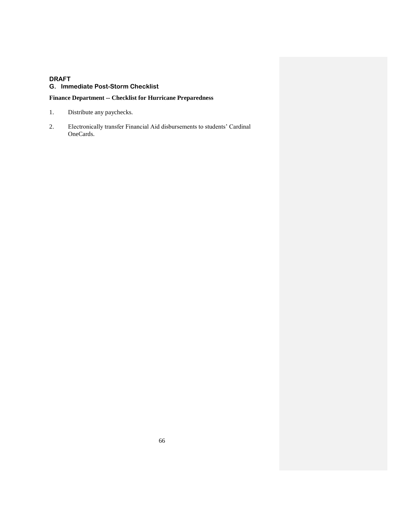## **Finance Department -- Checklist for Hurricane Preparedness**

- 1. Distribute any paychecks.
- 2. Electronically transfer Financial Aid disbursements to students' Cardinal OneCards.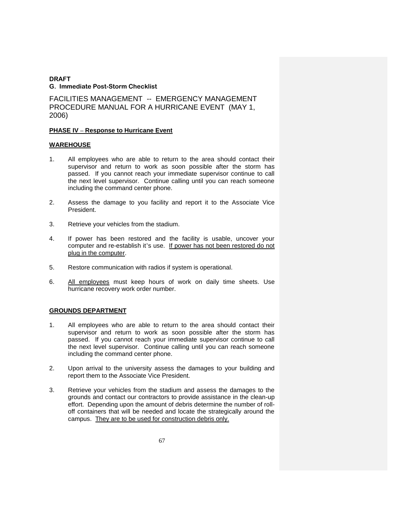FACILITIES MANAGEMENT -- EMERGENCY MANAGEMENT PROCEDURE MANUAL FOR A HURRICANE EVENT (MAY 1, 2006)

### **PHASE IV – Response to Hurricane Event**

### **WAREHOUSE**

- 1. All employees who are able to return to the area should contact their supervisor and return to work as soon possible after the storm has passed. If you cannot reach your immediate supervisor continue to call the next level supervisor. Continue calling until you can reach someone including the command center phone.
- 2. Assess the damage to you facility and report it to the Associate Vice President.
- 3. Retrieve your vehicles from the stadium.
- 4. If power has been restored and the facility is usable, uncover your computer and re-establish it's use. If power has not been restored do not plug in the computer.
- 5. Restore communication with radios if system is operational.
- 6. All employees must keep hours of work on daily time sheets. Use hurricane recovery work order number.

## **GROUNDS DEPARTMENT**

- 1. All employees who are able to return to the area should contact their supervisor and return to work as soon possible after the storm has passed. If you cannot reach your immediate supervisor continue to call the next level supervisor. Continue calling until you can reach someone including the command center phone.
- 2. Upon arrival to the university assess the damages to your building and report them to the Associate Vice President.
- 3. Retrieve your vehicles from the stadium and assess the damages to the grounds and contact our contractors to provide assistance in the clean-up effort. Depending upon the amount of debris determine the number of rolloff containers that will be needed and locate the strategically around the campus. They are to be used for construction debris only.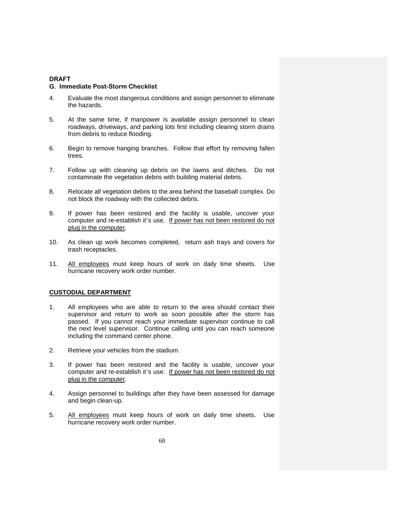#### **G. Immediate Post-Storm Checklist**

- 4. Evaluate the most dangerous conditions and assign personnel to eliminate the hazards.
- 5. At the same time, if manpower is available assign personnel to clean roadways, driveways, and parking lots first including clearing storm drains from debris to reduce flooding.
- 6. Begin to remove hanging branches. Follow that effort by removing fallen trees.
- 7. Follow up with cleaning up debris on the lawns and ditches. Do not contaminate the vegetation debris with building material debris.
- 8. Relocate all vegetation debris to the area behind the baseball complex. Do not block the roadway with the collected debris.
- 9. If power has been restored and the facility is usable, uncover your computer and re-establish it's use. If power has not been restored do not plug in the computer.
- 10. As clean up work becomes completed, return ash trays and covers for trash receptacles.
- 11. All employees must keep hours of work on daily time sheets. Use hurricane recovery work order number.

### **CUSTODIAL DEPARTMENT**

- 1. All employees who are able to return to the area should contact their supervisor and return to work as soon possible after the storm has passed. If you cannot reach your immediate supervisor continue to call the next level supervisor. Continue calling until you can reach someone including the command center phone.
- 2. Retrieve your vehicles from the stadium.
- 3. If power has been restored and the facility is usable, uncover your computer and re-establish it's use. If power has not been restored do not plug in the computer.
- 4. Assign personnel to buildings after they have been assessed for damage and begin clean-up.
- 5. All employees must keep hours of work on daily time sheets. Use hurricane recovery work order number.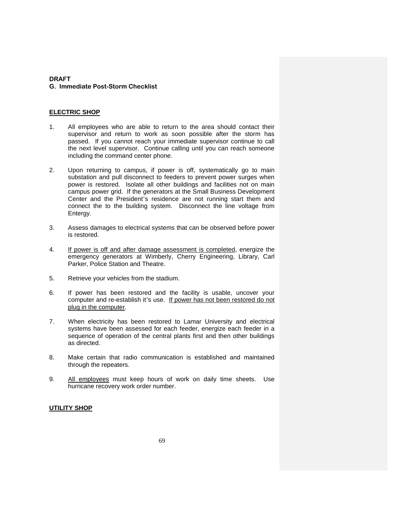## **ELECTRIC SHOP**

- 1. All employees who are able to return to the area should contact their supervisor and return to work as soon possible after the storm has passed. If you cannot reach your immediate supervisor continue to call the next level supervisor. Continue calling until you can reach someone including the command center phone.
- 2. Upon returning to campus, if power is off, systematically go to main substation and pull disconnect to feeders to prevent power surges when power is restored. Isolate all other buildings and facilities not on main campus power grid. If the generators at the Small Business Development Center and the President's residence are not running start them and connect the to the building system. Disconnect the line voltage from Entergy.
- 3. Assess damages to electrical systems that can be observed before power is restored.
- 4. If power is off and after damage assessment is completed, energize the emergency generators at Wimberly, Cherry Engineering, Library, Carl Parker, Police Station and Theatre.
- 5. Retrieve your vehicles from the stadium.
- 6. If power has been restored and the facility is usable, uncover your computer and re-establish it's use. If power has not been restored do not plug in the computer.
- 7. When electricity has been restored to Lamar University and electrical systems have been assessed for each feeder, energize each feeder in a sequence of operation of the central plants first and then other buildings as directed.
- 8. Make certain that radio communication is established and maintained through the repeaters.
- 9. All employees must keep hours of work on daily time sheets. Use hurricane recovery work order number.

### **UTILITY SHOP**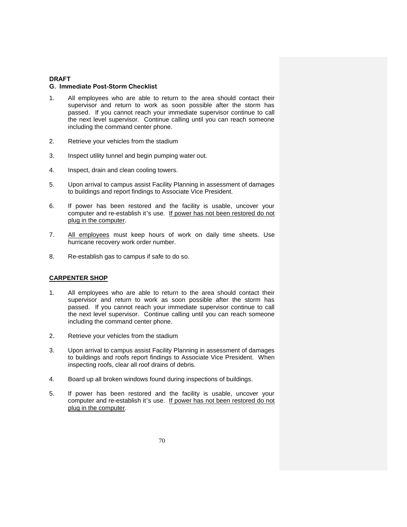#### **G. Immediate Post-Storm Checklist**

- 1. All employees who are able to return to the area should contact their supervisor and return to work as soon possible after the storm has passed. If you cannot reach your immediate supervisor continue to call the next level supervisor. Continue calling until you can reach someone including the command center phone.
- 2. Retrieve your vehicles from the stadium
- 3. Inspect utility tunnel and begin pumping water out.
- 4. Inspect, drain and clean cooling towers.
- 5. Upon arrival to campus assist Facility Planning in assessment of damages to buildings and report findings to Associate Vice President.
- 6. If power has been restored and the facility is usable, uncover your computer and re-establish it's use. If power has not been restored do not plug in the computer.
- 7. All employees must keep hours of work on daily time sheets. Use hurricane recovery work order number.
- 8. Re-establish gas to campus if safe to do so.

### **CARPENTER SHOP**

- 1. All employees who are able to return to the area should contact their supervisor and return to work as soon possible after the storm has passed. If you cannot reach your immediate supervisor continue to call the next level supervisor. Continue calling until you can reach someone including the command center phone.
- 2. Retrieve your vehicles from the stadium
- 3. Upon arrival to campus assist Facility Planning in assessment of damages to buildings and roofs report findings to Associate Vice President. When inspecting roofs, clear all roof drains of debris.
- 4. Board up all broken windows found during inspections of buildings.
- 5. If power has been restored and the facility is usable, uncover your computer and re-establish it's use. If power has not been restored do not plug in the computer.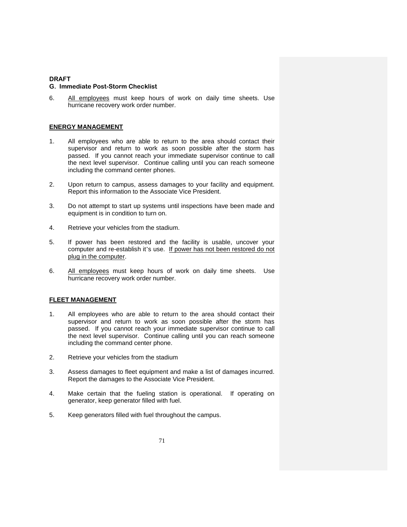#### **G. Immediate Post-Storm Checklist**

6. All employees must keep hours of work on daily time sheets. Use hurricane recovery work order number.

#### **ENERGY MANAGEMENT**

- 1. All employees who are able to return to the area should contact their supervisor and return to work as soon possible after the storm has passed. If you cannot reach your immediate supervisor continue to call the next level supervisor. Continue calling until you can reach someone including the command center phones.
- 2. Upon return to campus, assess damages to your facility and equipment. Report this information to the Associate Vice President.
- 3. Do not attempt to start up systems until inspections have been made and equipment is in condition to turn on.
- 4. Retrieve your vehicles from the stadium.
- 5. If power has been restored and the facility is usable, uncover your computer and re-establish it's use. If power has not been restored do not plug in the computer.
- 6. All employees must keep hours of work on daily time sheets. Use hurricane recovery work order number.

#### **FLEET MANAGEMENT**

- 1. All employees who are able to return to the area should contact their supervisor and return to work as soon possible after the storm has passed. If you cannot reach your immediate supervisor continue to call the next level supervisor. Continue calling until you can reach someone including the command center phone.
- 2. Retrieve your vehicles from the stadium
- 3. Assess damages to fleet equipment and make a list of damages incurred. Report the damages to the Associate Vice President.
- 4. Make certain that the fueling station is operational. If operating on generator, keep generator filled with fuel.
- 5. Keep generators filled with fuel throughout the campus.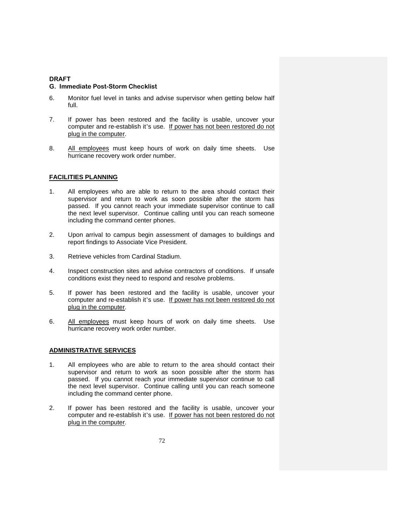#### **G. Immediate Post-Storm Checklist**

- 6. Monitor fuel level in tanks and advise supervisor when getting below half full.
- 7. If power has been restored and the facility is usable, uncover your computer and re-establish it's use. If power has not been restored do not plug in the computer.
- 8. All employees must keep hours of work on daily time sheets. Use hurricane recovery work order number.

## **FACILITIES PLANNING**

- 1. All employees who are able to return to the area should contact their supervisor and return to work as soon possible after the storm has passed. If you cannot reach your immediate supervisor continue to call the next level supervisor. Continue calling until you can reach someone including the command center phones.
- 2. Upon arrival to campus begin assessment of damages to buildings and report findings to Associate Vice President.
- 3. Retrieve vehicles from Cardinal Stadium.
- 4. Inspect construction sites and advise contractors of conditions. If unsafe conditions exist they need to respond and resolve problems.
- 5. If power has been restored and the facility is usable, uncover your computer and re-establish it's use. If power has not been restored do not plug in the computer.
- 6. All employees must keep hours of work on daily time sheets. Use hurricane recovery work order number.

### **ADMINISTRATIVE SERVICES**

- 1. All employees who are able to return to the area should contact their supervisor and return to work as soon possible after the storm has passed. If you cannot reach your immediate supervisor continue to call the next level supervisor. Continue calling until you can reach someone including the command center phone.
- 2. If power has been restored and the facility is usable, uncover your computer and re-establish it's use. If power has not been restored do not plug in the computer.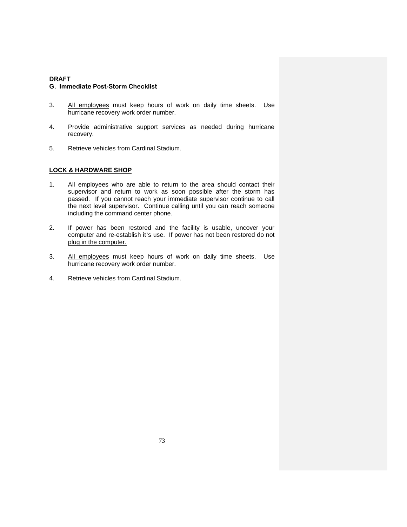#### **G. Immediate Post-Storm Checklist**

- 3. All employees must keep hours of work on daily time sheets. Use hurricane recovery work order number.
- 4. Provide administrative support services as needed during hurricane recovery.
- 5. Retrieve vehicles from Cardinal Stadium.

## **LOCK & HARDWARE SHOP**

- 1. All employees who are able to return to the area should contact their supervisor and return to work as soon possible after the storm has passed. If you cannot reach your immediate supervisor continue to call the next level supervisor. Continue calling until you can reach someone including the command center phone.
- 2. If power has been restored and the facility is usable, uncover your computer and re-establish it's use. If power has not been restored do not plug in the computer.
- 3. All employees must keep hours of work on daily time sheets. Use hurricane recovery work order number.
- 4. Retrieve vehicles from Cardinal Stadium.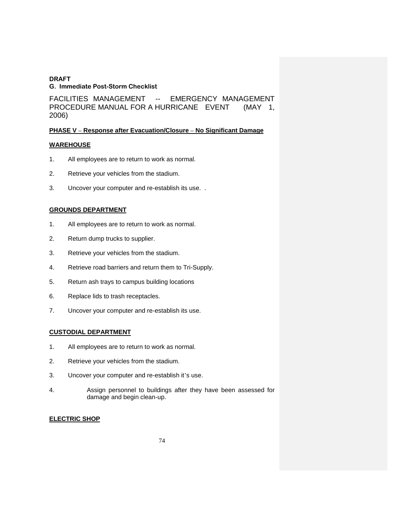FACILITIES MANAGEMENT -- EMERGENCY MANAGEMENT PROCEDURE MANUAL FOR A HURRICANE EVENT (MAY 1, 2006)

## **PHASE V – Response after Evacuation/Closure – No Significant Damage**

## **WAREHOUSE**

- 1. All employees are to return to work as normal.
- 2. Retrieve your vehicles from the stadium.
- 3. Uncover your computer and re-establish its use. .

### **GROUNDS DEPARTMENT**

- 1. All employees are to return to work as normal.
- 2. Return dump trucks to supplier.
- 3. Retrieve your vehicles from the stadium.
- 4. Retrieve road barriers and return them to Tri-Supply.
- 5. Return ash trays to campus building locations
- 6. Replace lids to trash receptacles.
- 7. Uncover your computer and re-establish its use.

## **CUSTODIAL DEPARTMENT**

- 1. All employees are to return to work as normal.
- 2. Retrieve your vehicles from the stadium.
- 3. Uncover your computer and re-establish it's use.
- 4. Assign personnel to buildings after they have been assessed for damage and begin clean-up.

#### **ELECTRIC SHOP**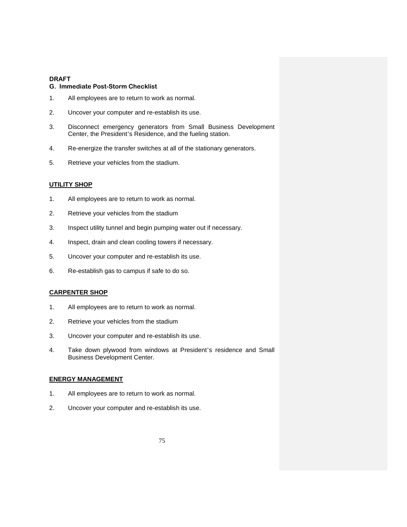## **G. Immediate Post-Storm Checklist**

- 1. All employees are to return to work as normal.
- 2. Uncover your computer and re-establish its use.
- 3. Disconnect emergency generators from Small Business Development Center, the President's Residence, and the fueling station.
- 4. Re-energize the transfer switches at all of the stationary generators.
- 5. Retrieve your vehicles from the stadium.

# **UTILITY SHOP**

- 1. All employees are to return to work as normal.
- 2. Retrieve your vehicles from the stadium
- 3. Inspect utility tunnel and begin pumping water out if necessary.
- 4. Inspect, drain and clean cooling towers if necessary.
- 5. Uncover your computer and re-establish its use.
- 6. Re-establish gas to campus if safe to do so.

#### **CARPENTER SHOP**

- 1. All employees are to return to work as normal.
- 2. Retrieve your vehicles from the stadium
- 3. Uncover your computer and re-establish its use.
- 4. Take down plywood from windows at President's residence and Small Business Development Center.

#### **ENERGY MANAGEMENT**

- 1. All employees are to return to work as normal.
- 2. Uncover your computer and re-establish its use.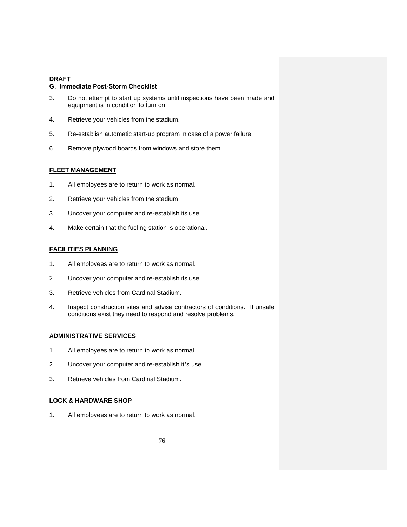#### **G. Immediate Post-Storm Checklist**

- 3. Do not attempt to start up systems until inspections have been made and equipment is in condition to turn on.
- 4. Retrieve your vehicles from the stadium.
- 5. Re-establish automatic start-up program in case of a power failure.
- 6. Remove plywood boards from windows and store them.

### **FLEET MANAGEMENT**

- 1. All employees are to return to work as normal.
- 2. Retrieve your vehicles from the stadium
- 3. Uncover your computer and re-establish its use.
- 4. Make certain that the fueling station is operational.

## **FACILITIES PLANNING**

- 1. All employees are to return to work as normal.
- 2. Uncover your computer and re-establish its use.
- 3. Retrieve vehicles from Cardinal Stadium.
- 4. Inspect construction sites and advise contractors of conditions. If unsafe conditions exist they need to respond and resolve problems.

## **ADMINISTRATIVE SERVICES**

- 1. All employees are to return to work as normal.
- 2. Uncover your computer and re-establish it's use.
- 3. Retrieve vehicles from Cardinal Stadium.

## **LOCK & HARDWARE SHOP**

1. All employees are to return to work as normal.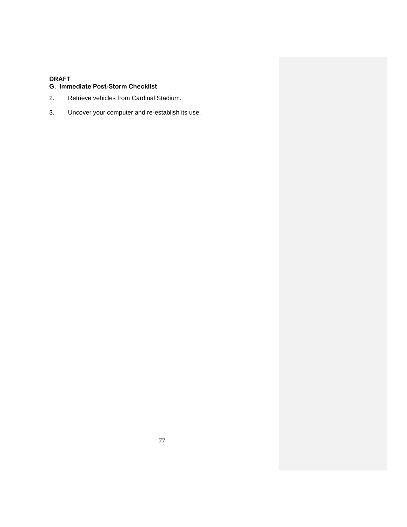# **G. Immediate Post-Storm Checklist**

- 2. Retrieve vehicles from Cardinal Stadium.
- 3. Uncover your computer and re-establish its use.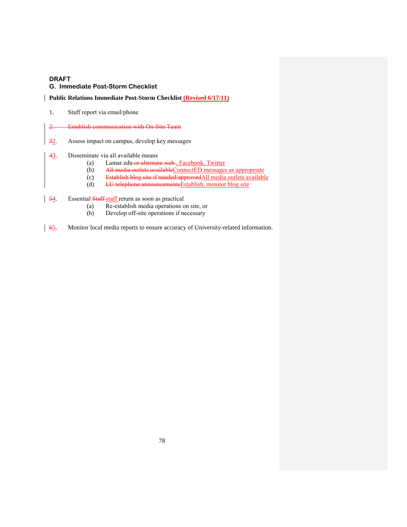## **G. Immediate Post-Storm Checklist**

## **Public Relations Immediate Post-Storm Checklist (Revised 6/17/11)**

- 1. Staff report via email/phone
- 2. Establish communication with On-Site Team
- 32. Assess impact on campus, develop key messages
- 43. Disseminate via all available means
	- (a) Lamar.edu-or alternate web-, Facebook, Twitter
	- (b) All media outlets available ConnectED messages as appropriate
	- (c) Establish blog site if needed/approvedAll media outlets available
	- (d) LU telephone announcementsEstablish, monitor blog site
- 54. Essential Staff-staff return as soon as practical
	- (a) Re-establish media operations on site, or<br>
	(b) Develop off-site operations if necessary
	- Develop off-site operations if necessary
- 65. Monitor local media reports to ensure accuracy of University-related information.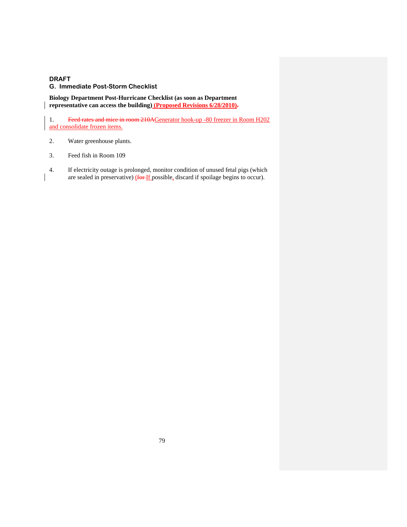**Biology Department Post-Hurricane Checklist (as soon as Department representative can access the building) (Proposed Revisions 6/28/2010).**

1. Feed rates and mice in room 210AGenerator hook-up -80 freezer in Room H202 and consolidate frozen items.

- 2. Water greenhouse plants.
- 3. Feed fish in Room 109
- 4. If electricity outage is prolonged, monitor condition of unused fetal pigs (which are sealed in preservative) (for If possible, discard if spoilage begins to occur).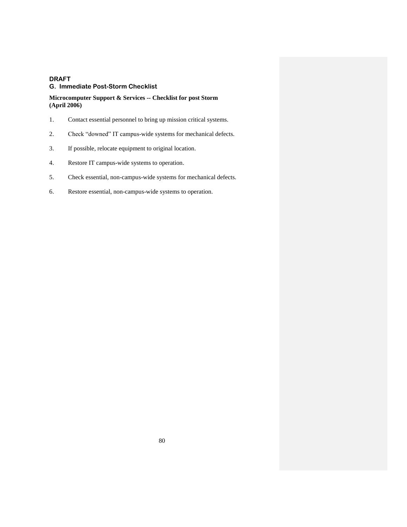### **Microcomputer Support & Services -- Checklist for post Storm (April 2006)**

- 1. Contact essential personnel to bring up mission critical systems.
- 2. Check "downed" IT campus-wide systems for mechanical defects.
- 3. If possible, relocate equipment to original location.
- 4. Restore IT campus-wide systems to operation.
- 5. Check essential, non-campus-wide systems for mechanical defects.
- 6. Restore essential, non-campus-wide systems to operation.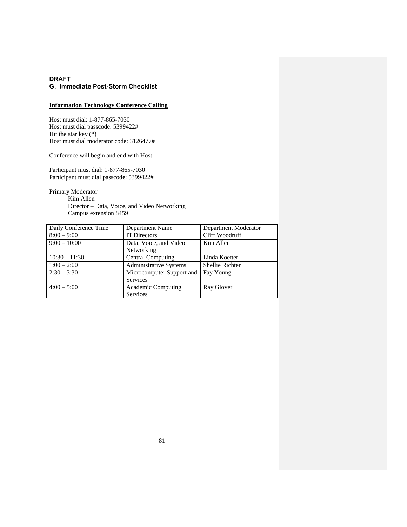## **Information Technology Conference Calling**

Host must dial: 1-877-865-7030 Host must dial passcode: 5399422# Hit the star key (\*) Host must dial moderator code: 3126477#

Conference will begin and end with Host.

Participant must dial: 1-877-865-7030 Participant must dial passcode: 5399422#

Primary Moderator

Kim Allen Director – Data, Voice, and Video Networking Campus extension 8459

| Daily Conference Time | Department Name               | Department Moderator   |
|-----------------------|-------------------------------|------------------------|
| $8:00 - 9:00$         | <b>IT Directors</b>           | Cliff Woodruff         |
| $9:00-10:00$          | Data, Voice, and Video        | Kim Allen              |
|                       | Networking                    |                        |
| $10:30 - 11:30$       | <b>Central Computing</b>      | Linda Koetter          |
| $1:00 - 2:00$         | <b>Administrative Systems</b> | <b>Shellie Richter</b> |
| $2:30 - 3:30$         | Microcomputer Support and     | Fay Young              |
|                       | Services                      |                        |
| $4:00 - 5:00$         | Academic Computing            | Ray Glover             |
|                       | Services                      |                        |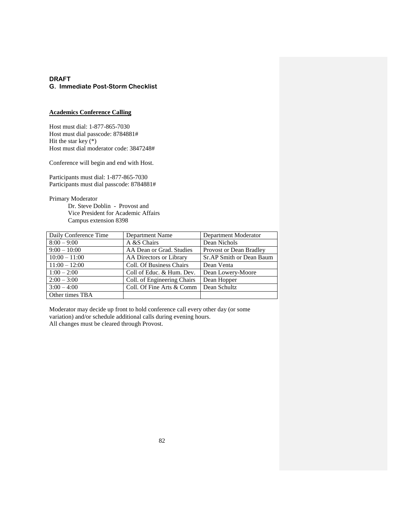#### **Academics Conference Calling**

Host must dial: 1-877-865-7030 Host must dial passcode: 8784881# Hit the star key  $(*)$ Host must dial moderator code: 3847248#

Conference will begin and end with Host.

Participants must dial: 1-877-865-7030 Participants must dial passcode: 8784881#

Primary Moderator

Dr. Steve Doblin - Provost and Vice President for Academic Affairs Campus extension 8398

| Daily Conference Time | Department Name             | Department Moderator     |
|-----------------------|-----------------------------|--------------------------|
| $8:00 - 9:00$         | A &S Chairs                 | Dean Nichols             |
| $9:00-10:00$          | AA Dean or Grad. Studies    | Provost or Dean Bradley  |
| $10:00 - 11:00$       | AA Directors or Library     | Sr.AP Smith or Dean Baum |
| $11:00 - 12:00$       | Coll. Of Business Chairs    | Dean Venta               |
| $1:00 - 2:00$         | Coll of Educ. & Hum. Dev.   | Dean Lowery-Moore        |
| $2:00 - 3:00$         | Coll. of Engineering Chairs | Dean Hopper              |
| $3:00 - 4:00$         | Coll. Of Fine Arts & Comm   | Dean Schultz             |
| Other times TBA       |                             |                          |

Moderator may decide up front to hold conference call every other day (or some variation) and/or schedule additional calls during evening hours. All changes must be cleared through Provost.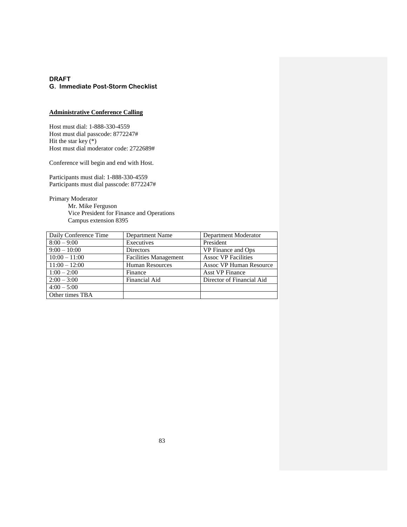## **Administrative Conference Calling**

Host must dial: 1-888-330-4559 Host must dial passcode: 8772247# Hit the star key  $(*)$ Host must dial moderator code: 2722689#

Conference will begin and end with Host.

Participants must dial: 1-888-330-4559 Participants must dial passcode: 8772247#

Primary Moderator

Mr. Mike Ferguson Vice President for Finance and Operations Campus extension 8395

| Daily Conference Time | <b>Department Name</b>       | Department Moderator           |
|-----------------------|------------------------------|--------------------------------|
| $8:00 - 9:00$         | Executives                   | President                      |
| $9:00-10:00$          | Directors                    | VP Finance and Ops             |
| $10:00 - 11:00$       | <b>Facilities Management</b> | <b>Assoc VP Facilities</b>     |
| $11:00 - 12:00$       | <b>Human Resources</b>       | <b>Assoc VP Human Resource</b> |
| $1:00 - 2:00$         | Finance                      | <b>Asst VP Finance</b>         |
| $2:00 - 3:00$         | Financial Aid                | Director of Financial Aid      |
| $4:00 - 5:00$         |                              |                                |
| Other times TBA       |                              |                                |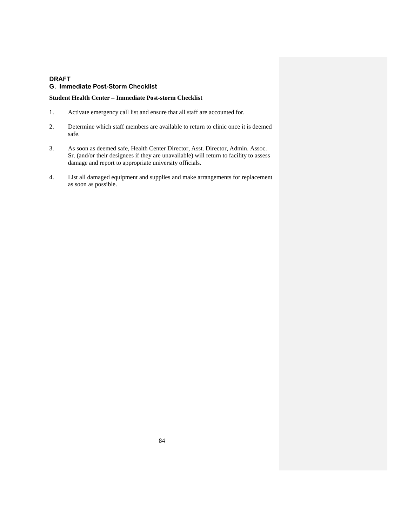#### **Student Health Center – Immediate Post-storm Checklist**

- 1. Activate emergency call list and ensure that all staff are accounted for.
- 2. Determine which staff members are available to return to clinic once it is deemed safe.
- 3. As soon as deemed safe, Health Center Director, Asst. Director, Admin. Assoc. Sr. (and/or their designees if they are unavailable) will return to facility to assess damage and report to appropriate university officials.
- 4. List all damaged equipment and supplies and make arrangements for replacement as soon as possible.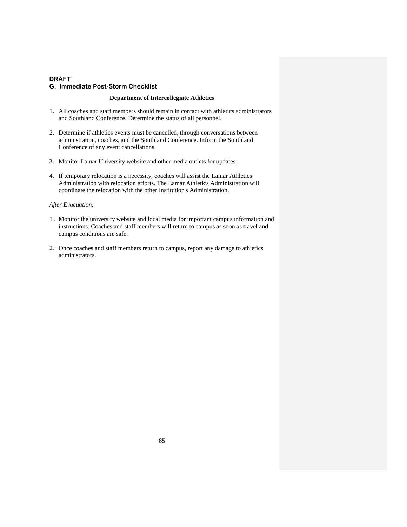#### **Department of Intercollegiate Athletics**

- 1. All coaches and staff members should remain in contact with athletics administrators and Southland Conference. Determine the status of all personnel.
- 2. Determine if athletics events must be cancelled, through conversations between administration, coaches, and the Southland Conference. Inform the Southland Conference of any event cancellations.
- 3. Monitor Lamar University website and other media outlets for updates.
- 4. If temporary relocation is a necessity, coaches will assist the Lamar Athletics Administration with relocation efforts. The Lamar Athletics Administration will coordinate the relocation with the other Institution's Administration.

#### *After Evacuation:*

- 1 . Monitor the university website and local media for important campus information and instructions. Coaches and staff members will return to campus as soon as travel and campus conditions are safe.
- 2. Once coaches and staff members return to campus, report any damage to athletics administrators.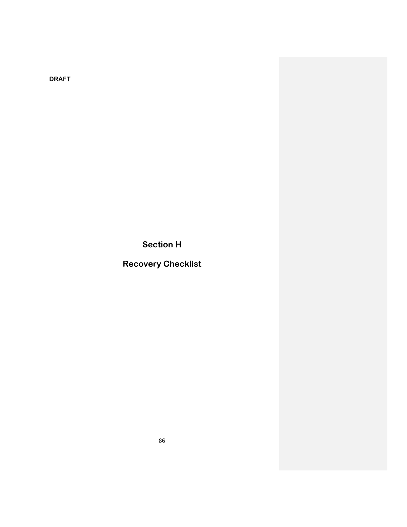**Section H**

**Recovery Checklist**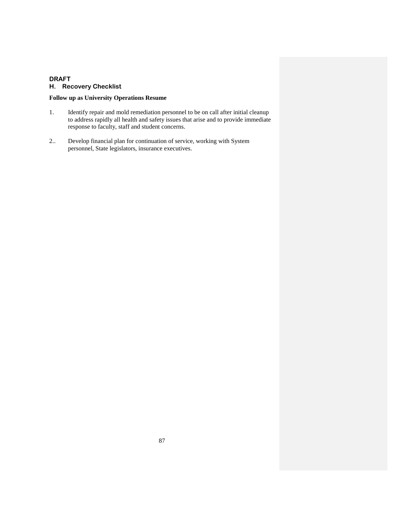# **DRAFT H. Recovery Checklist**

## **Follow up as University Operations Resume**

- 1. Identify repair and mold remediation personnel to be on call after initial cleanup to address rapidly all health and safety issues that arise and to provide immediate response to faculty, staff and student concerns.
- 2.. Develop financial plan for continuation of service, working with System personnel, State legislators, insurance executives.